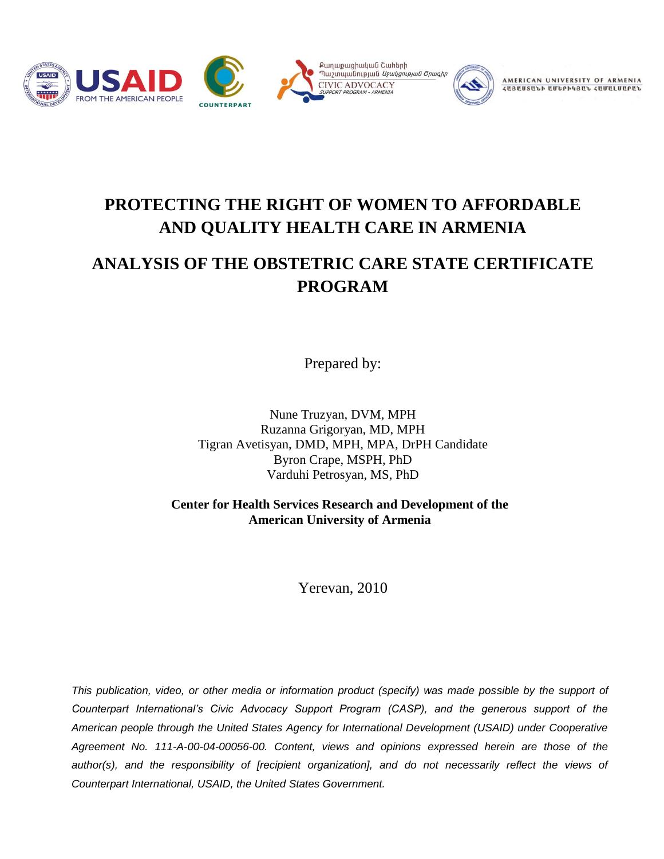



AMERICAN UNIVERSITY OF *<u>ZUBUUSULD UUDPDABUL ZUUBLUUPUL</u>* 

# **PROTECTING THE RIGHT OF WOMEN TO AFFORDABLE AND QUALITY HEALTH CARE IN ARMENIA**

# **ANALYSIS OF THE OBSTETRIC CARE STATE CERTIFICATE PROGRAM**

Prepared by:

Nune Truzyan, DVM, MPH Ruzanna Grigoryan, MD, MPH Tigran Avetisyan, DMD, MPH, MPA, DrPH Candidate Byron Crape, MSPH, PhD Varduhi Petrosyan, MS, PhD

**Center for Health Services Research and Development of the American University of Armenia**

Yerevan, 2010

*This publication, video, or other media or information product (specify) was made possible by the support of Counterpart International's Civic Advocacy Support Program (CASP), and the generous support of the American people through the United States Agency for International Development (USAID) under Cooperative Agreement No. 111-A-00-04-00056-00. Content, views and opinions expressed herein are those of the author(s), and the responsibility of [recipient organization], and do not necessarily reflect the views of Counterpart International, USAID, the United States Government.*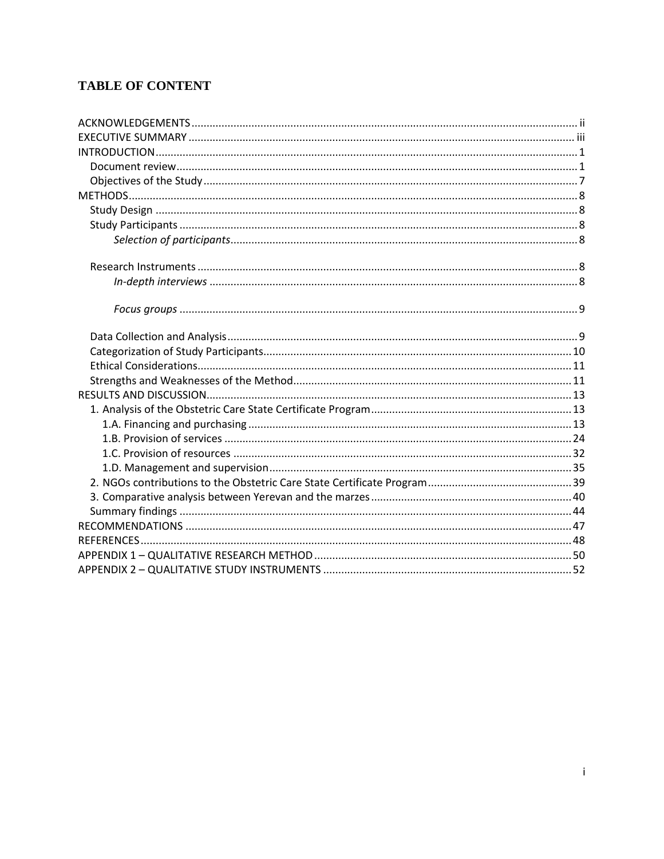# **TABLE OF CONTENT**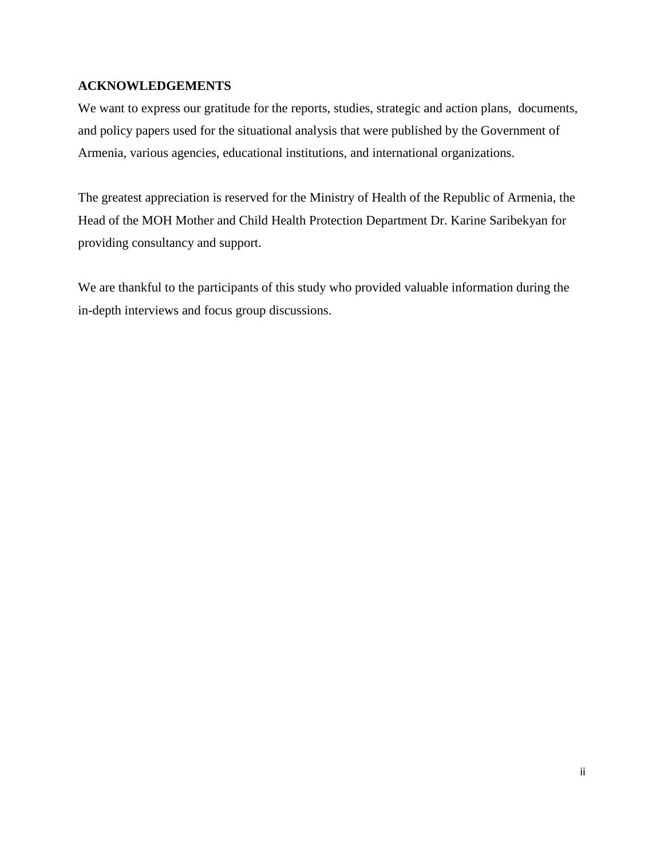## <span id="page-2-0"></span>**ACKNOWLEDGEMENTS**

We want to express our gratitude for the reports, studies, strategic and action plans, documents, and policy papers used for the situational analysis that were published by the Government of Armenia, various agencies, educational institutions, and international organizations.

The greatest appreciation is reserved for the Ministry of Health of the Republic of Armenia, the Head of the MOH Mother and Child Health Protection Department Dr. Karine Saribekyan for providing consultancy and support.

We are thankful to the participants of this study who provided valuable information during the in-depth interviews and focus group discussions.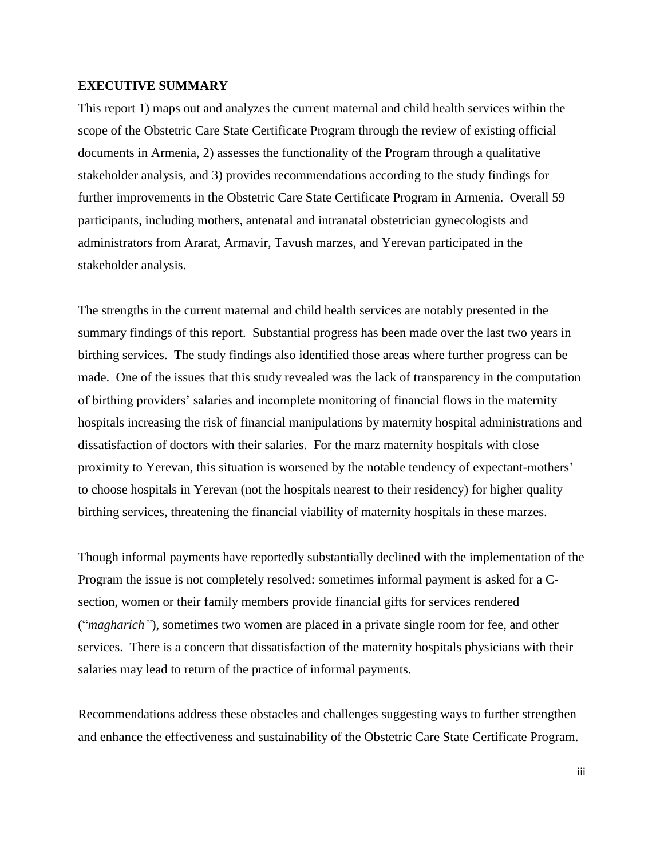#### <span id="page-3-0"></span>**EXECUTIVE SUMMARY**

This report 1) maps out and analyzes the current maternal and child health services within the scope of the Obstetric Care State Certificate Program through the review of existing official documents in Armenia, 2) assesses the functionality of the Program through a qualitative stakeholder analysis, and 3) provides recommendations according to the study findings for further improvements in the Obstetric Care State Certificate Program in Armenia. Overall 59 participants, including mothers, antenatal and intranatal obstetrician gynecologists and administrators from Ararat, Armavir, Tavush marzes, and Yerevan participated in the stakeholder analysis.

The strengths in the current maternal and child health services are notably presented in the summary findings of this report. Substantial progress has been made over the last two years in birthing services. The study findings also identified those areas where further progress can be made. One of the issues that this study revealed was the lack of transparency in the computation of birthing providers' salaries and incomplete monitoring of financial flows in the maternity hospitals increasing the risk of financial manipulations by maternity hospital administrations and dissatisfaction of doctors with their salaries. For the marz maternity hospitals with close proximity to Yerevan, this situation is worsened by the notable tendency of expectant-mothers' to choose hospitals in Yerevan (not the hospitals nearest to their residency) for higher quality birthing services, threatening the financial viability of maternity hospitals in these marzes.

Though informal payments have reportedly substantially declined with the implementation of the Program the issue is not completely resolved: sometimes informal payment is asked for a Csection, women or their family members provide financial gifts for services rendered ("*magharich"*), sometimes two women are placed in a private single room for fee, and other services. There is a concern that dissatisfaction of the maternity hospitals physicians with their salaries may lead to return of the practice of informal payments.

Recommendations address these obstacles and challenges suggesting ways to further strengthen and enhance the effectiveness and sustainability of the Obstetric Care State Certificate Program.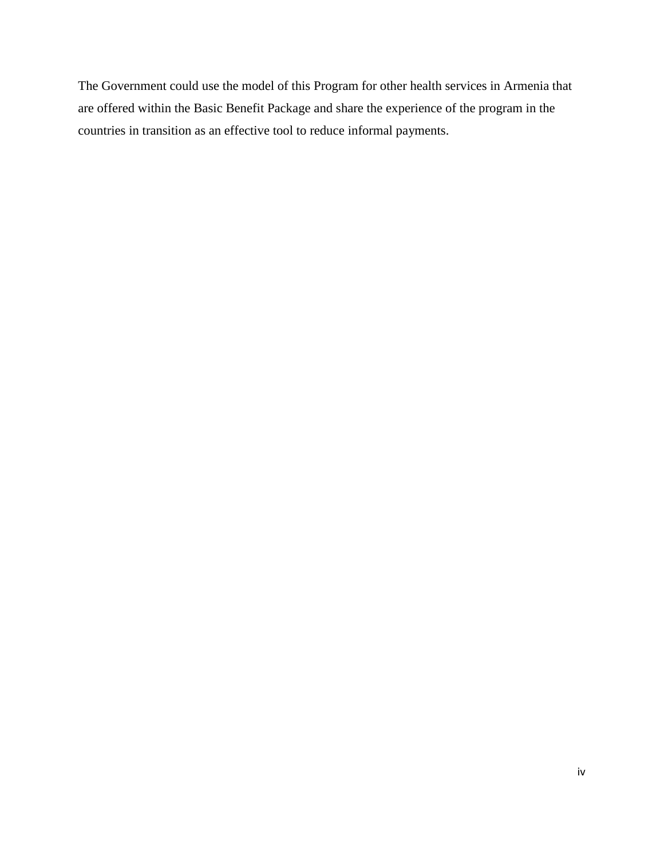The Government could use the model of this Program for other health services in Armenia that are offered within the Basic Benefit Package and share the experience of the program in the countries in transition as an effective tool to reduce informal payments.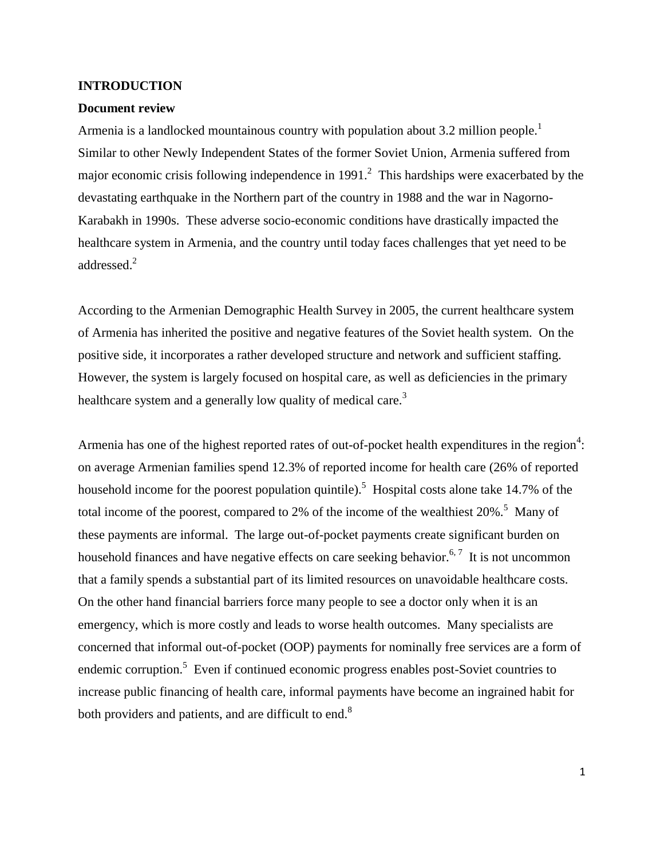#### <span id="page-5-0"></span>**INTRODUCTION**

#### <span id="page-5-1"></span>**Document review**

Armenia is a landlocked mountainous country with population about 3.2 million people.<sup>1</sup> Similar to other Newly Independent States of the former Soviet Union, Armenia suffered from major economic crisis following independence in 1991.<sup>2</sup> This hardships were exacerbated by the devastating earthquake in the Northern part of the country in 1988 and the war in Nagorno-Karabakh in 1990s. These adverse socio-economic conditions have drastically impacted the healthcare system in Armenia, and the country until today faces challenges that yet need to be addressed.<sup>2</sup>

According to the Armenian Demographic Health Survey in 2005, the current healthcare system of Armenia has inherited the positive and negative features of the Soviet health system. On the positive side, it incorporates a rather developed structure and network and sufficient staffing. However, the system is largely focused on hospital care, as well as deficiencies in the primary healthcare system and a generally low quality of medical care.<sup>3</sup>

Armenia has one of the highest reported rates of out-of-pocket health expenditures in the region<sup>4</sup>: on average Armenian families spend 12.3% of reported income for health care (26% of reported household income for the poorest population quintile).<sup>5</sup> Hospital costs alone take 14.7% of the total income of the poorest, compared to 2% of the income of the wealthiest  $20\%$ .<sup>5</sup> Many of these payments are informal. The large out-of-pocket payments create significant burden on household finances and have negative effects on care seeking behavior.<sup>6,7</sup> It is not uncommon that a family spends a substantial part of its limited resources on unavoidable healthcare costs. On the other hand financial barriers force many people to see a doctor only when it is an emergency, which is more costly and leads to worse health outcomes. Many specialists are concerned that informal out-of-pocket (OOP) payments for nominally free services are a form of endemic corruption.<sup>5</sup> Even if continued economic progress enables post-Soviet countries to increase public financing of health care, informal payments have become an ingrained habit for both providers and patients, and are difficult to end.<sup>8</sup>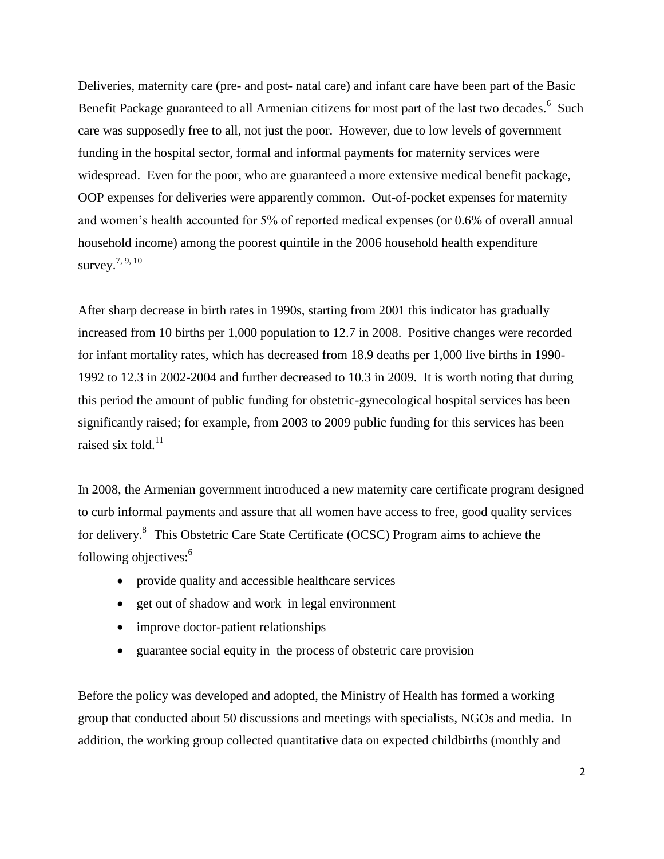Deliveries, maternity care (pre- and post- natal care) and infant care have been part of the Basic Benefit Package guaranteed to all Armenian citizens for most part of the last two decades.<sup>6</sup> Such care was supposedly free to all, not just the poor. However, due to low levels of government funding in the hospital sector, formal and informal payments for maternity services were widespread. Even for the poor, who are guaranteed a more extensive medical benefit package, OOP expenses for deliveries were apparently common. Out-of-pocket expenses for maternity and women's health accounted for 5% of reported medical expenses (or 0.6% of overall annual household income) among the poorest quintile in the 2006 household health expenditure survey.7, 9, 10

After sharp decrease in birth rates in 1990s, starting from 2001 this indicator has gradually increased from 10 births per 1,000 population to 12.7 in 2008. Positive changes were recorded for infant mortality rates, which has decreased from 18.9 deaths per 1,000 live births in 1990- 1992 to 12.3 in 2002-2004 and further decreased to 10.3 in 2009. It is worth noting that during this period the amount of public funding for obstetric-gynecological hospital services has been significantly raised; for example, from 2003 to 2009 public funding for this services has been raised six fold. $^{11}$ 

In 2008, the Armenian government introduced a new maternity care certificate program designed to curb informal payments and assure that all women have access to free, good quality services for delivery.<sup>8</sup> This Obstetric Care State Certificate (OCSC) Program aims to achieve the following objectives:<sup>6</sup>

- provide quality and accessible healthcare services
- get out of shadow and work in legal environment
- improve doctor-patient relationships
- guarantee social equity in the process of obstetric care provision

Before the policy was developed and adopted, the Ministry of Health has formed a working group that conducted about 50 discussions and meetings with specialists, NGOs and media. In addition, the working group collected quantitative data on expected childbirths (monthly and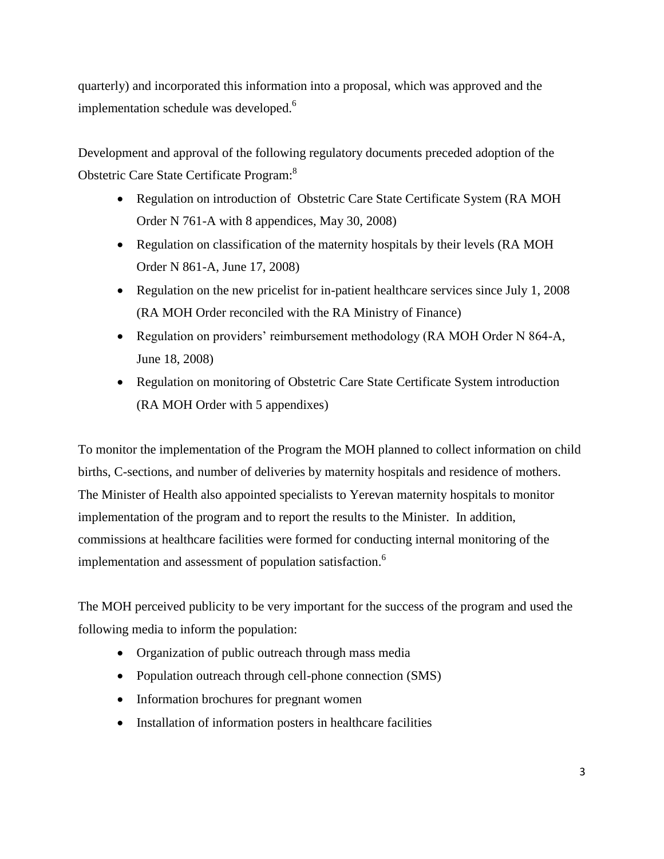quarterly) and incorporated this information into a proposal, which was approved and the implementation schedule was developed.<sup>6</sup>

Development and approval of the following regulatory documents preceded adoption of the Obstetric Care State Certificate Program:<sup>8</sup>

- Regulation on introduction of Obstetric Care State Certificate System (RA MOH Order N 761-A with 8 appendices, May 30, 2008)
- Regulation on classification of the maternity hospitals by their levels (RA MOH Order N 861-A, June 17, 2008)
- Regulation on the new pricelist for in-patient healthcare services since July 1, 2008 (RA MOH Order reconciled with the RA Ministry of Finance)
- Regulation on providers' reimbursement methodology (RA MOH Order N 864-A, June 18, 2008)
- Regulation on monitoring of Obstetric Care State Certificate System introduction (RA MOH Order with 5 appendixes)

To monitor the implementation of the Program the MOH planned to collect information on child births, C-sections, and number of deliveries by maternity hospitals and residence of mothers. The Minister of Health also appointed specialists to Yerevan maternity hospitals to monitor implementation of the program and to report the results to the Minister. In addition, commissions at healthcare facilities were formed for conducting internal monitoring of the implementation and assessment of population satisfaction.<sup>6</sup>

The MOH perceived publicity to be very important for the success of the program and used the following media to inform the population:

- Organization of public outreach through mass media
- Population outreach through cell-phone connection (SMS)
- Information brochures for pregnant women
- Installation of information posters in healthcare facilities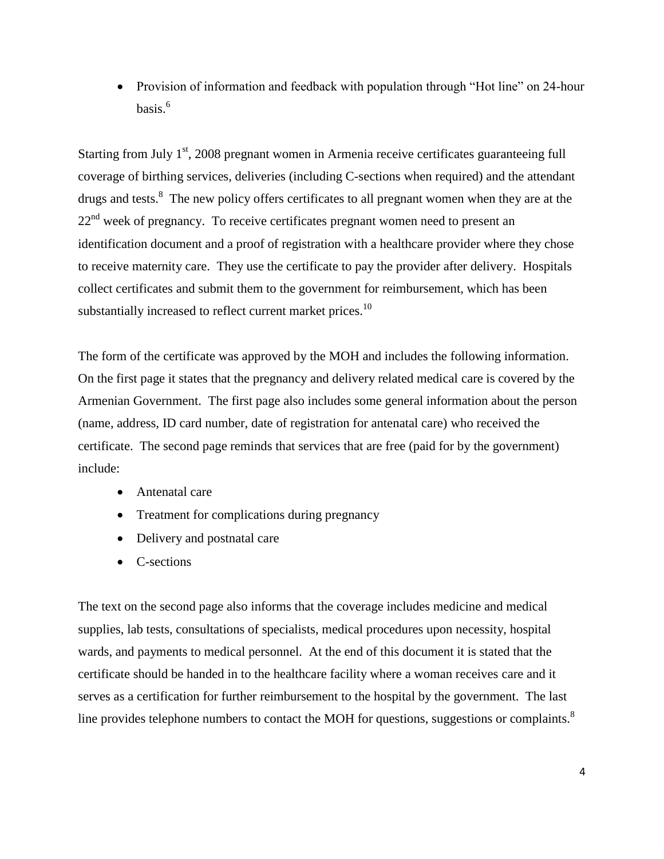• Provision of information and feedback with population through "Hot line" on 24-hour basis. 6

Starting from July  $1<sup>st</sup>$ , 2008 pregnant women in Armenia receive certificates guaranteeing full coverage of birthing services, deliveries (including C-sections when required) and the attendant drugs and tests.<sup>8</sup> The new policy offers certificates to all pregnant women when they are at the  $22<sup>nd</sup>$  week of pregnancy. To receive certificates pregnant women need to present an identification document and a proof of registration with a healthcare provider where they chose to receive maternity care. They use the certificate to pay the provider after delivery. Hospitals collect certificates and submit them to the government for reimbursement, which has been substantially increased to reflect current market prices.<sup>10</sup>

The form of the certificate was approved by the MOH and includes the following information. On the first page it states that the pregnancy and delivery related medical care is covered by the Armenian Government. The first page also includes some general information about the person (name, address, ID card number, date of registration for antenatal care) who received the certificate. The second page reminds that services that are free (paid for by the government) include:

- Antenatal care
- Treatment for complications during pregnancy
- Delivery and postnatal care
- C-sections

The text on the second page also informs that the coverage includes medicine and medical supplies, lab tests, consultations of specialists, medical procedures upon necessity, hospital wards, and payments to medical personnel. At the end of this document it is stated that the certificate should be handed in to the healthcare facility where a woman receives care and it serves as a certification for further reimbursement to the hospital by the government. The last line provides telephone numbers to contact the MOH for questions, suggestions or complaints.<sup>8</sup>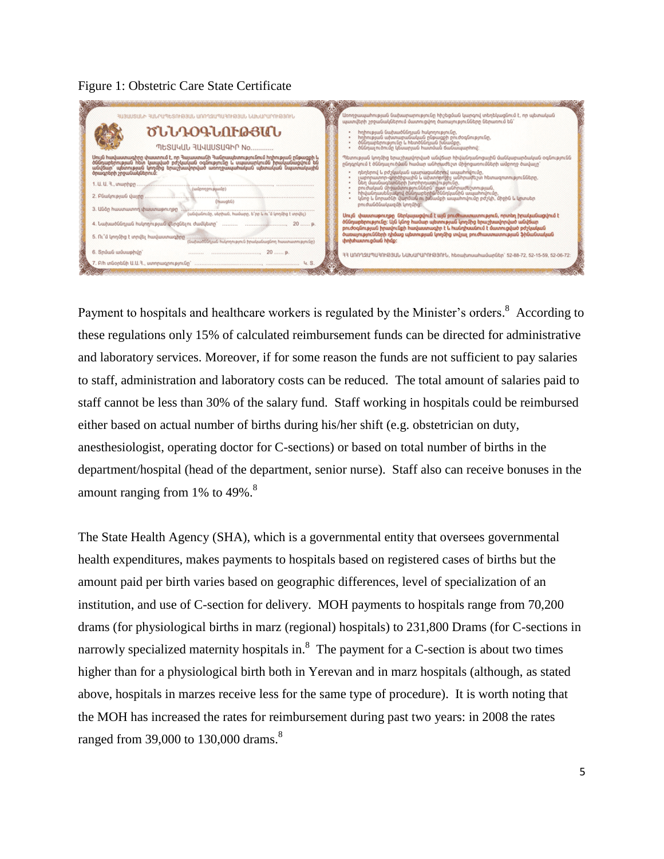#### Figure 1: Obstetric Care State Certificate

| ՅԱՅԱՍՏԱՆԻ ՅԱՆՐԱՊԵՏՈՒԹՅԱՆ ԱՌՌՂԶԱՊԱՅՈՒԹՅԱՆ ՆԱԽԱՐԱՐՈՒԹՅՈՒՆ                                                                                                                                                                             | Առողջապահության նախարարությունը հիշեցման կարգով տեղեկացնում է, որ պետական                                                                                                                                                                                                                                                                                                                                                    |
|-------------------------------------------------------------------------------------------------------------------------------------------------------------------------------------------------------------------------------------|------------------------------------------------------------------------------------------------------------------------------------------------------------------------------------------------------------------------------------------------------------------------------------------------------------------------------------------------------------------------------------------------------------------------------|
| ԾԵՆԴՕԳՆՈՒԹՅԱՆ                                                                                                                                                                                                                       | պատվերի շրջանակներում մատուցվող ծառայությունները ներառում են՝                                                                                                                                                                                                                                                                                                                                                                |
| MESUYUL 3UYUUSU9hn No                                                                                                                                                                                                               | Իղիության նախածննդյան հսկողությունը,<br>Իղիության ախտարանական ընթացքի բուժօգնությունը,<br>ծննդաբերությունը և հետծննդյան խնամքը,<br>ծննդալուծումը կեսարյան հատման ճանապարհով։                                                                                                                                                                                                                                                 |
| Սույն hավաստագիրը փաստում է, որ Դայաստանի Դանրապետությունում hղիության ընթացքի և<br>«Ծնդաբերության՝ hետ՝ կապված՝ բժշկական օգնությունը և սպասարկումն իրականացվում՝ են<br>անվճար` պետության կողմից երաշխավորված առողջապահական պետական | Պետության կողմից երաշխավորված անվճար հիվանդանոցային մանկաբարձական օգնությունն                                                                                                                                                                                                                                                                                                                                                |
|                                                                                                                                                                                                                                     | րնդգրկում է ծննդալուծման համար անհրաժեշտ միջոցառումների ամբողջ ծավալը՝                                                                                                                                                                                                                                                                                                                                                       |
|                                                                                                                                                                                                                                     | դեղերով և բժշկական պարագաներով ապահովումը,                                                                                                                                                                                                                                                                                                                                                                                   |
| <b>MuusabD</b>                                                                                                                                                                                                                      | , արդատող–գործիքային և ախտողությի անդրաժեշտ հետազոտությունները,<br>ներ մասնագետների խորհրդատվությունը,<br>- բուժական միջանտություններն՝ ըստ անդրաժեշտության,<br>- իրանուսաներակով ծննդաբերին ներկանին ապահովումը,<br>- կնոջ և նորածնի վար                                                                                                                                                                                    |
| 3. Цбор һшиտшилпп փшимшрпւпрр<br>.<br>- (անվանումը, սերիան, hամարը, ե՞րբ և ու՞մ կողմից է տրվել)<br>5. Ու՞մ կողմից է տրվել հավաստագիրը<br>(նախածնելյան Խսխորդյունը)<br>6. Snůwů wůuwehun<br>$20$ $p$ .                               | Սույն փաստաթուղթը ներկայացվում է այն բուժիսատատություն, որտեղ իրականացվում է<br>ծննդարերությունը։ Այն կնոջ համար պետության կողմից երաշխավորված անվճար<br>բուժօգնության իրավունքի հավաստագիր է և հանդիսանում է մատուցված բժշկական<br>ծառաչությունների դիմաց պետության կողմից տվյալ բուժիսաստատության ֆինանսական<br>փոխիստուցման իիմք:<br>33 ԱՌՈՂՋԱՊԱՅՈՒԹՅԱՆ ՆԱԽԱՐԱՐՈՒԹՅՈՒՆ, hbnuubmuuhuuumbunubm 52-88-72, 52-15-59, 52-06-72 |

Payment to hospitals and healthcare workers is regulated by the Minister's orders.<sup>8</sup> According to these regulations only 15% of calculated reimbursement funds can be directed for administrative and laboratory services. Moreover, if for some reason the funds are not sufficient to pay salaries to staff, administration and laboratory costs can be reduced. The total amount of salaries paid to staff cannot be less than 30% of the salary fund. Staff working in hospitals could be reimbursed either based on actual number of births during his/her shift (e.g. obstetrician on duty, anesthesiologist, operating doctor for C-sections) or based on total number of births in the department/hospital (head of the department, senior nurse). Staff also can receive bonuses in the amount ranging from  $1\%$  to  $49\%$ .<sup>8</sup>

The State Health Agency (SHA), which is a governmental entity that oversees governmental health expenditures, makes payments to hospitals based on registered cases of births but the amount paid per birth varies based on geographic differences, level of specialization of an institution, and use of C-section for delivery. MOH payments to hospitals range from 70,200 drams (for physiological births in marz (regional) hospitals) to 231,800 Drams (for C-sections in narrowly specialized maternity hospitals in.<sup>8</sup> The payment for a C-section is about two times higher than for a physiological birth both in Yerevan and in marz hospitals (although, as stated above, hospitals in marzes receive less for the same type of procedure). It is worth noting that the MOH has increased the rates for reimbursement during past two years: in 2008 the rates ranged from 39,000 to 130,000 drams. $8$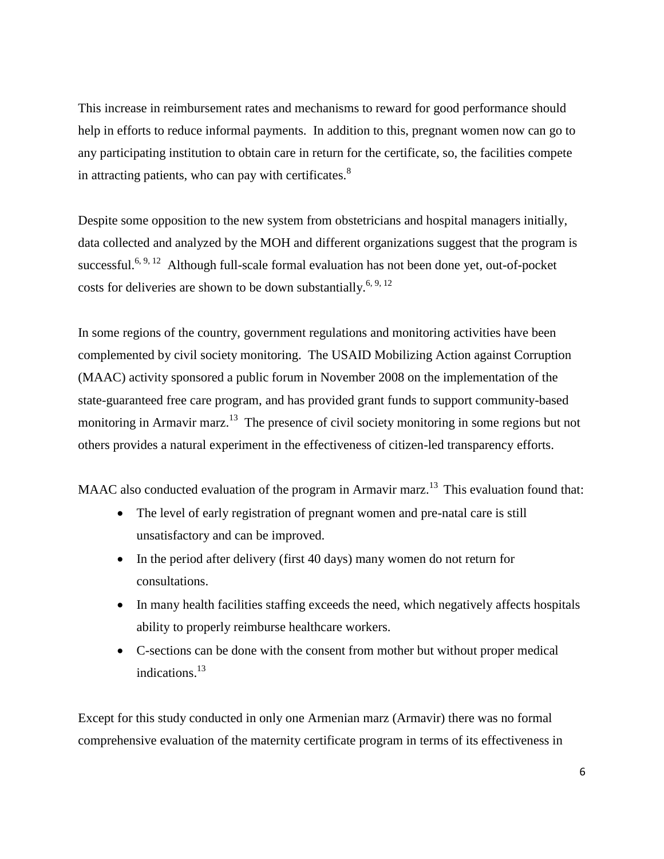This increase in reimbursement rates and mechanisms to reward for good performance should help in efforts to reduce informal payments. In addition to this, pregnant women now can go to any participating institution to obtain care in return for the certificate, so, the facilities compete in attracting patients, who can pay with certificates. $8^8$ 

Despite some opposition to the new system from obstetricians and hospital managers initially, data collected and analyzed by the MOH and different organizations suggest that the program is successful.<sup>6, 9, 12</sup> Although full-scale formal evaluation has not been done yet, out-of-pocket costs for deliveries are shown to be down substantially.<sup>6, 9, 12</sup>

In some regions of the country, government regulations and monitoring activities have been complemented by civil society monitoring. The USAID Mobilizing Action against Corruption (MAAC) activity sponsored a public forum in November 2008 on the implementation of the state-guaranteed free care program, and has provided grant funds to support community-based monitoring in Armavir marz.<sup>13</sup> The presence of civil society monitoring in some regions but not others provides a natural experiment in the effectiveness of citizen-led transparency efforts.

MAAC also conducted evaluation of the program in Armavir marz.<sup>13</sup> This evaluation found that:

- The level of early registration of pregnant women and pre-natal care is still unsatisfactory and can be improved.
- In the period after delivery (first 40 days) many women do not return for consultations.
- In many health facilities staffing exceeds the need, which negatively affects hospitals ability to properly reimburse healthcare workers.
- C-sections can be done with the consent from mother but without proper medical indications. 13

Except for this study conducted in only one Armenian marz (Armavir) there was no formal comprehensive evaluation of the maternity certificate program in terms of its effectiveness in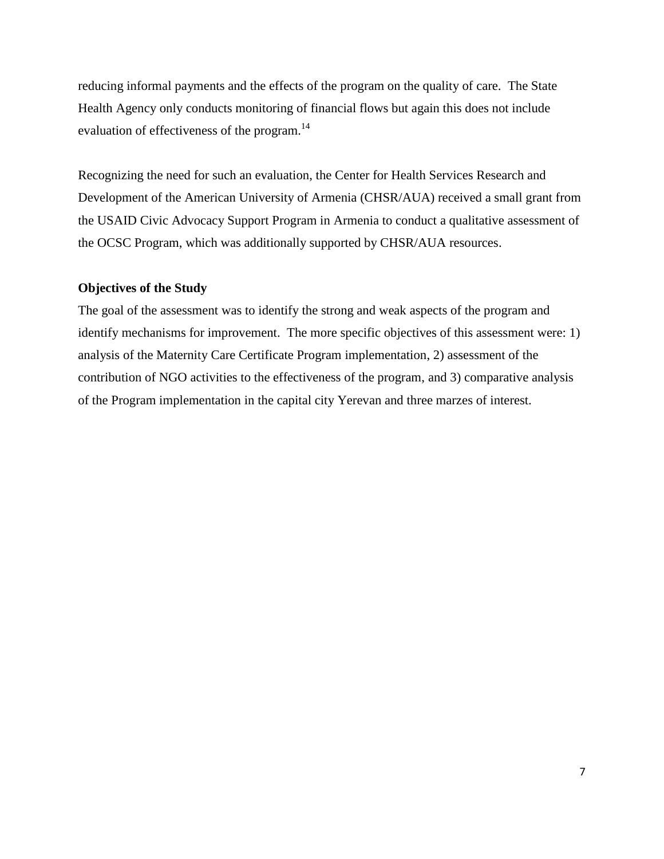reducing informal payments and the effects of the program on the quality of care. The State Health Agency only conducts monitoring of financial flows but again this does not include evaluation of effectiveness of the program.<sup>14</sup>

Recognizing the need for such an evaluation, the Center for Health Services Research and Development of the American University of Armenia (CHSR/AUA) received a small grant from the USAID Civic Advocacy Support Program in Armenia to conduct a qualitative assessment of the OCSC Program, which was additionally supported by CHSR/AUA resources.

#### <span id="page-11-0"></span>**Objectives of the Study**

The goal of the assessment was to identify the strong and weak aspects of the program and identify mechanisms for improvement. The more specific objectives of this assessment were: 1) analysis of the Maternity Care Certificate Program implementation, 2) assessment of the contribution of NGO activities to the effectiveness of the program, and 3) comparative analysis of the Program implementation in the capital city Yerevan and three marzes of interest.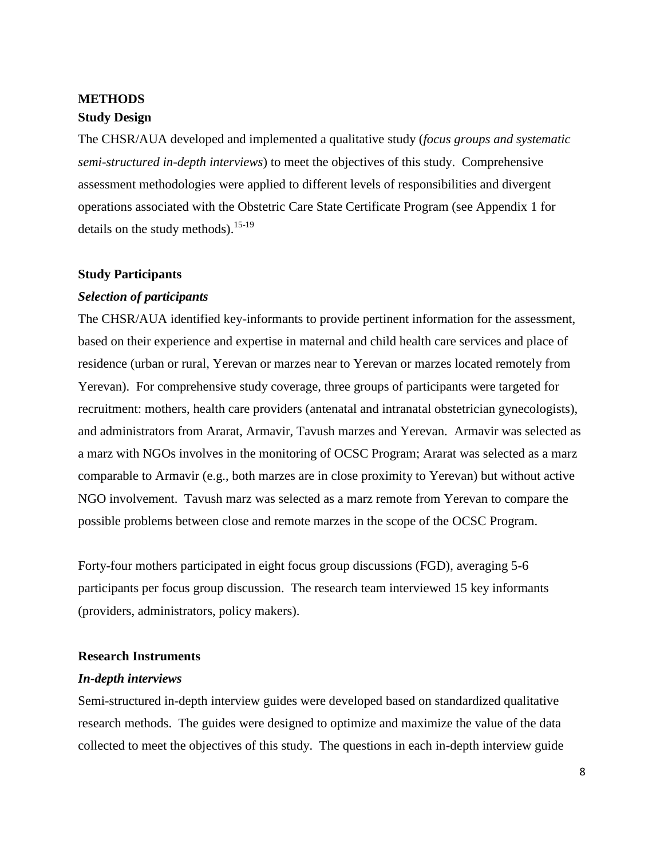# <span id="page-12-1"></span><span id="page-12-0"></span>**METHODS Study Design**

The CHSR/AUA developed and implemented a qualitative study (*focus groups and systematic semi-structured in-depth interviews*) to meet the objectives of this study. Comprehensive assessment methodologies were applied to different levels of responsibilities and divergent operations associated with the Obstetric Care State Certificate Program (see Appendix 1 for details on the study methods).<sup>15-19</sup>

#### <span id="page-12-2"></span>**Study Participants**

#### <span id="page-12-3"></span>*Selection of participants*

The CHSR/AUA identified key-informants to provide pertinent information for the assessment, based on their experience and expertise in maternal and child health care services and place of residence (urban or rural, Yerevan or marzes near to Yerevan or marzes located remotely from Yerevan). For comprehensive study coverage, three groups of participants were targeted for recruitment: mothers, health care providers (antenatal and intranatal obstetrician gynecologists), and administrators from Ararat, Armavir, Tavush marzes and Yerevan. Armavir was selected as a marz with NGOs involves in the monitoring of OCSC Program; Ararat was selected as a marz comparable to Armavir (e.g., both marzes are in close proximity to Yerevan) but without active NGO involvement. Tavush marz was selected as a marz remote from Yerevan to compare the possible problems between close and remote marzes in the scope of the OCSC Program.

Forty-four mothers participated in eight focus group discussions (FGD), averaging 5-6 participants per focus group discussion. The research team interviewed 15 key informants (providers, administrators, policy makers).

#### <span id="page-12-4"></span>**Research Instruments**

#### <span id="page-12-5"></span>*In-depth interviews*

Semi-structured in-depth interview guides were developed based on standardized qualitative research methods. The guides were designed to optimize and maximize the value of the data collected to meet the objectives of this study. The questions in each in-depth interview guide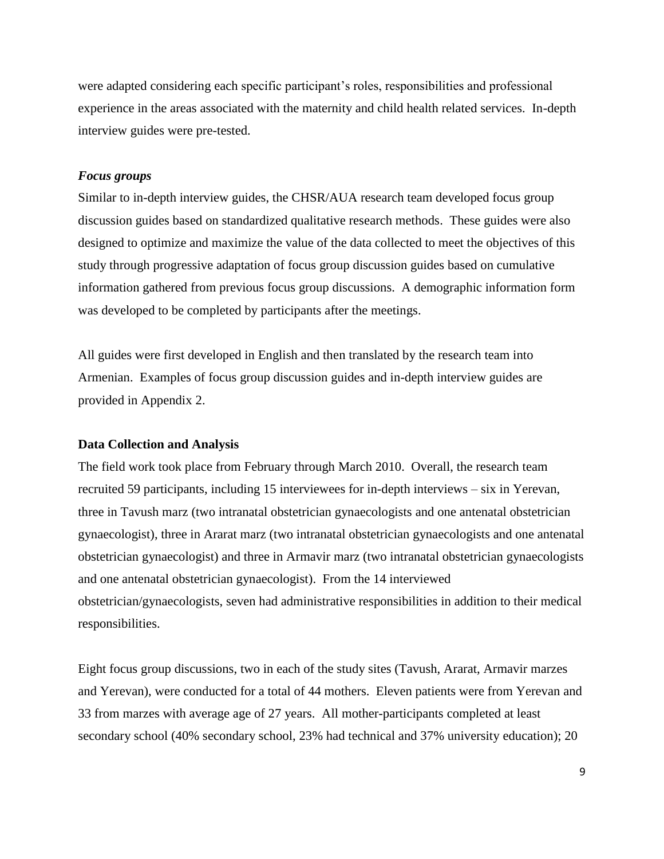were adapted considering each specific participant's roles, responsibilities and professional experience in the areas associated with the maternity and child health related services. In-depth interview guides were pre-tested.

#### <span id="page-13-0"></span>*Focus groups*

Similar to in-depth interview guides, the CHSR/AUA research team developed focus group discussion guides based on standardized qualitative research methods. These guides were also designed to optimize and maximize the value of the data collected to meet the objectives of this study through progressive adaptation of focus group discussion guides based on cumulative information gathered from previous focus group discussions. A demographic information form was developed to be completed by participants after the meetings.

All guides were first developed in English and then translated by the research team into Armenian. Examples of focus group discussion guides and in-depth interview guides are provided in Appendix 2.

#### <span id="page-13-1"></span>**Data Collection and Analysis**

The field work took place from February through March 2010. Overall, the research team recruited 59 participants, including 15 interviewees for in-depth interviews – six in Yerevan, three in Tavush marz (two intranatal obstetrician gynaecologists and one antenatal obstetrician gynaecologist), three in Ararat marz (two intranatal obstetrician gynaecologists and one antenatal obstetrician gynaecologist) and three in Armavir marz (two intranatal obstetrician gynaecologists and one antenatal obstetrician gynaecologist). From the 14 interviewed obstetrician/gynaecologists, seven had administrative responsibilities in addition to their medical responsibilities.

Eight focus group discussions, two in each of the study sites (Tavush, Ararat, Armavir marzes and Yerevan), were conducted for a total of 44 mothers. Eleven patients were from Yerevan and 33 from marzes with average age of 27 years. All mother-participants completed at least secondary school (40% secondary school, 23% had technical and 37% university education); 20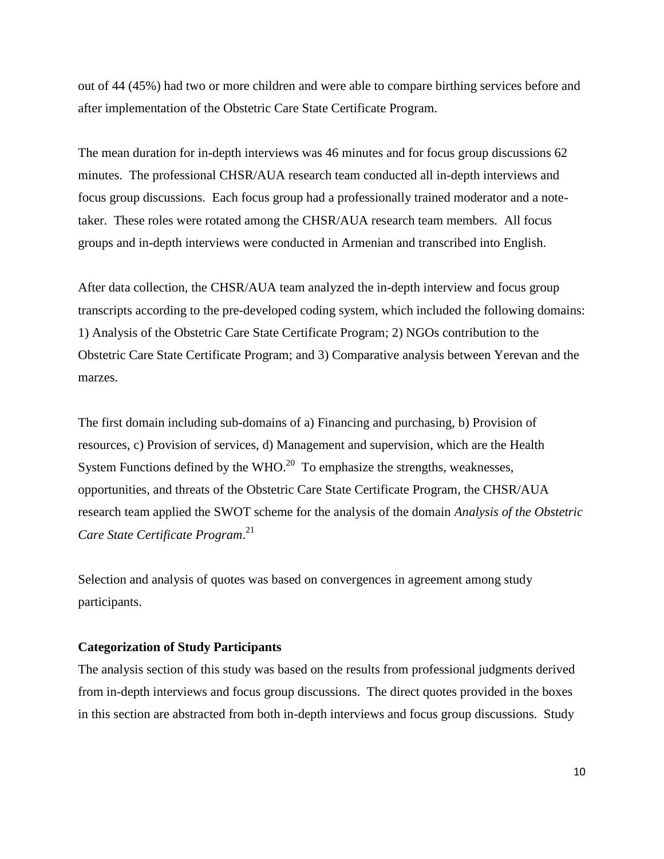out of 44 (45%) had two or more children and were able to compare birthing services before and after implementation of the Obstetric Care State Certificate Program.

The mean duration for in-depth interviews was 46 minutes and for focus group discussions 62 minutes. The professional CHSR/AUA research team conducted all in-depth interviews and focus group discussions. Each focus group had a professionally trained moderator and a notetaker. These roles were rotated among the CHSR/AUA research team members. All focus groups and in-depth interviews were conducted in Armenian and transcribed into English.

After data collection, the CHSR/AUA team analyzed the in-depth interview and focus group transcripts according to the pre-developed coding system, which included the following domains: 1) Analysis of the Obstetric Care State Certificate Program; 2) NGOs contribution to the Obstetric Care State Certificate Program; and 3) Comparative analysis between Yerevan and the marzes.

The first domain including sub-domains of a) Financing and purchasing, b) Provision of resources, c) Provision of services, d) Management and supervision, which are the Health System Functions defined by the WHO.<sup>20</sup> To emphasize the strengths, weaknesses, opportunities, and threats of the Obstetric Care State Certificate Program, the CHSR/AUA research team applied the SWOT scheme for the analysis of the domain *Analysis of the Obstetric Care State Certificate Program*. 21

Selection and analysis of quotes was based on convergences in agreement among study participants.

#### <span id="page-14-0"></span>**Categorization of Study Participants**

The analysis section of this study was based on the results from professional judgments derived from in-depth interviews and focus group discussions. The direct quotes provided in the boxes in this section are abstracted from both in-depth interviews and focus group discussions. Study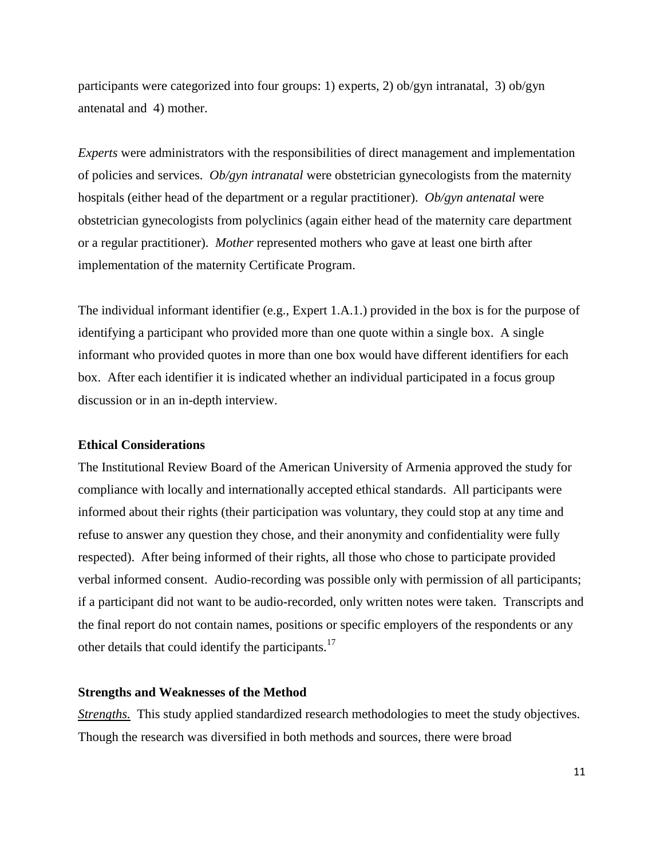participants were categorized into four groups: 1) experts, 2) ob/gyn intranatal, 3) ob/gyn antenatal and 4) mother.

*Experts* were administrators with the responsibilities of direct management and implementation of policies and services. *Ob/gyn intranatal* were obstetrician gynecologists from the maternity hospitals (either head of the department or a regular practitioner). *Ob/gyn antenatal* were obstetrician gynecologists from polyclinics (again either head of the maternity care department or a regular practitioner). *Mother* represented mothers who gave at least one birth after implementation of the maternity Certificate Program.

The individual informant identifier (e.g., Expert 1.A.1.) provided in the box is for the purpose of identifying a participant who provided more than one quote within a single box. A single informant who provided quotes in more than one box would have different identifiers for each box. After each identifier it is indicated whether an individual participated in a focus group discussion or in an in-depth interview.

#### <span id="page-15-0"></span>**Ethical Considerations**

The Institutional Review Board of the American University of Armenia approved the study for compliance with locally and internationally accepted ethical standards. All participants were informed about their rights (their participation was voluntary, they could stop at any time and refuse to answer any question they chose, and their anonymity and confidentiality were fully respected). After being informed of their rights, all those who chose to participate provided verbal informed consent. Audio-recording was possible only with permission of all participants; if a participant did not want to be audio-recorded, only written notes were taken. Transcripts and the final report do not contain names, positions or specific employers of the respondents or any other details that could identify the participants.<sup>17</sup>

#### <span id="page-15-1"></span>**Strengths and Weaknesses of the Method**

*Strengths.* This study applied standardized research methodologies to meet the study objectives. Though the research was diversified in both methods and sources, there were broad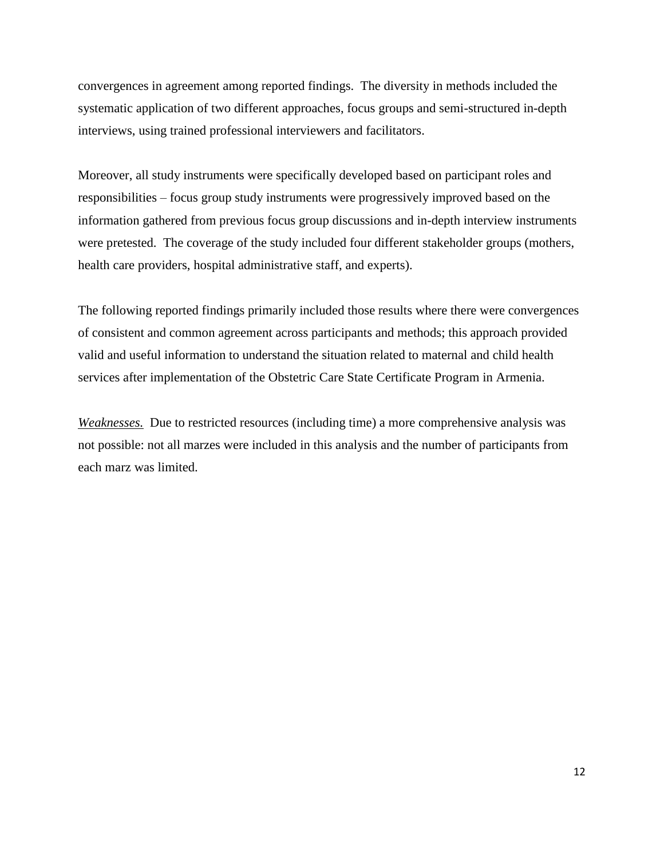convergences in agreement among reported findings. The diversity in methods included the systematic application of two different approaches, focus groups and semi-structured in-depth interviews, using trained professional interviewers and facilitators.

Moreover, all study instruments were specifically developed based on participant roles and responsibilities – focus group study instruments were progressively improved based on the information gathered from previous focus group discussions and in-depth interview instruments were pretested. The coverage of the study included four different stakeholder groups (mothers, health care providers, hospital administrative staff, and experts).

The following reported findings primarily included those results where there were convergences of consistent and common agreement across participants and methods; this approach provided valid and useful information to understand the situation related to maternal and child health services after implementation of the Obstetric Care State Certificate Program in Armenia.

*Weaknesses.*Due to restricted resources (including time) a more comprehensive analysis was not possible: not all marzes were included in this analysis and the number of participants from each marz was limited.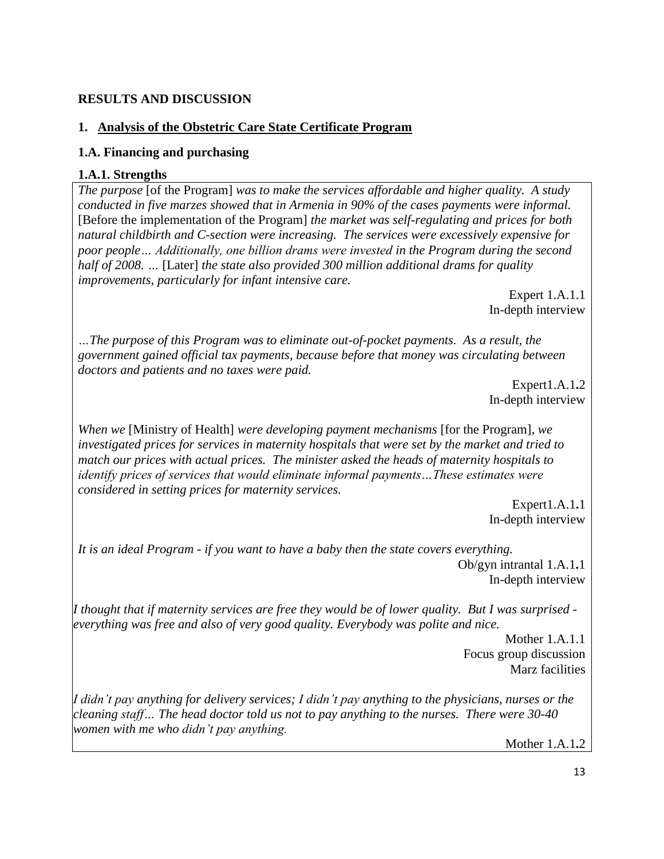# <span id="page-17-0"></span>**RESULTS AND DISCUSSION**

## <span id="page-17-1"></span>**1. Analysis of the Obstetric Care State Certificate Program**

## <span id="page-17-2"></span>**1.A. Financing and purchasing**

## **1.A.1. Strengths**

*The purpose* [of the Program] *was to make the services affordable and higher quality. A study conducted in five marzes showed that in Armenia in 90% of the cases payments were informal.*  [Before the implementation of the Program] *the market was self-regulating and prices for both natural childbirth and C-section were increasing. The services were excessively expensive for poor people… Additionally, one billion drams were invested in the Program during the second half of 2008. …* [Later] *the state also provided 300 million additional drams for quality improvements, particularly for infant intensive care.*

Expert 1.A.1.1 In-depth interview

*…The purpose of this Program was to eliminate out-of-pocket payments. As a result, the government gained official tax payments, because before that money was circulating between doctors and patients and no taxes were paid.* 

Expert1.A.1**.**2 In-depth interview

*When we* [Ministry of Health] *were developing payment mechanisms* [for the Program]*, we investigated prices for services in maternity hospitals that were set by the market and tried to match our prices with actual prices. The minister asked the heads of maternity hospitals to identify prices of services that would eliminate informal payments…These estimates were considered in setting prices for maternity services.*

> Expert1.A.1**.**1 In-depth interview

*It is an ideal Program - if you want to have a baby then the state covers everything.* Ob/gyn intrantal 1.A.1**.**1

In-depth interview

*I thought that if maternity services are free they would be of lower quality. But I was surprised everything was free and also of very good quality. Everybody was polite and nice.*

> Mother 1.A.1.1 Focus group discussion Marz facilities

*I didn't pay anything for delivery services; I didn't pay anything to the physicians, nurses or the cleaning staff… The head doctor told us not to pay anything to the nurses. There were 30-40 women with me who didn't pay anything.*

Mother 1.A.1**.**2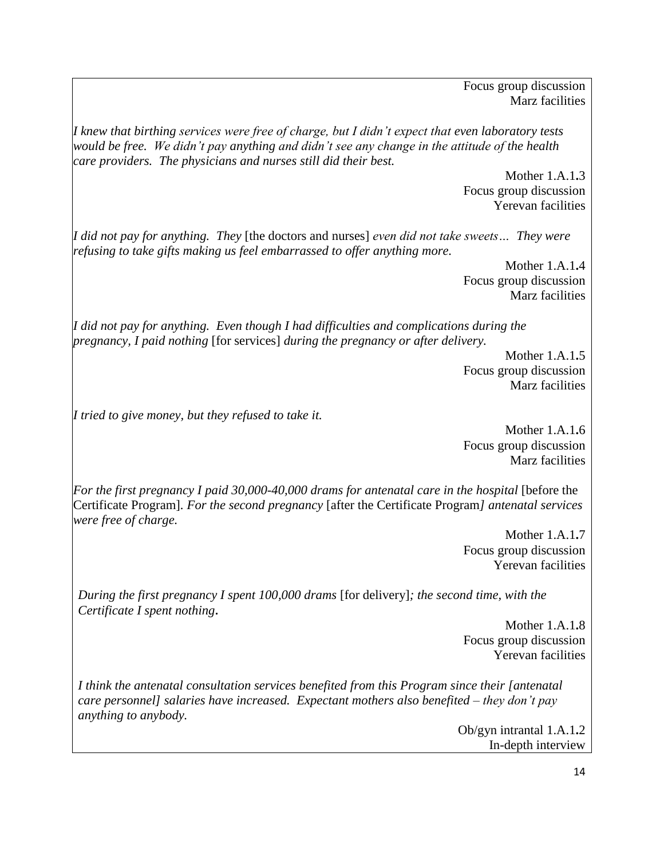Focus group discussion Marz facilities

*I knew that birthing services were free of charge, but I didn't expect that even laboratory tests would be free. We didn't pay anything and didn't see any change in the attitude of the health care providers. The physicians and nurses still did their best.*

Mother 1.A.1**.**3 Focus group discussion Yerevan facilities

*I did not pay for anything. They* [the doctors and nurses] *even did not take sweets… They were refusing to take gifts making us feel embarrassed to offer anything more.*

> Mother 1.A.1**.**4 Focus group discussion Marz facilities

*I did not pay for anything. Even though I had difficulties and complications during the pregnancy, I paid nothing* [for services] *during the pregnancy or after delivery.*

Mother 1.A.1**.**5 Focus group discussion Marz facilities

*I tried to give money, but they refused to take it.*

Mother 1.A.1**.**6 Focus group discussion Marz facilities

*For the first pregnancy I paid 30,000-40,000 drams for antenatal care in the hospital* [before the Certificate Program]*. For the second pregnancy* [after the Certificate Program*] antenatal services were free of charge.* 

> Mother 1.A.1**.**7 Focus group discussion Yerevan facilities

*During the first pregnancy I spent 100,000 drams* [for delivery]*; the second time, with the Certificate I spent nothing***.**

> Mother 1.A.1**.**8 Focus group discussion Yerevan facilities

*I think the antenatal consultation services benefited from this Program since their [antenatal care personnel] salaries have increased. Expectant mothers also benefited – they don't pay anything to anybody.*

> Ob/gyn intrantal 1.A.1**.**2 In-depth interview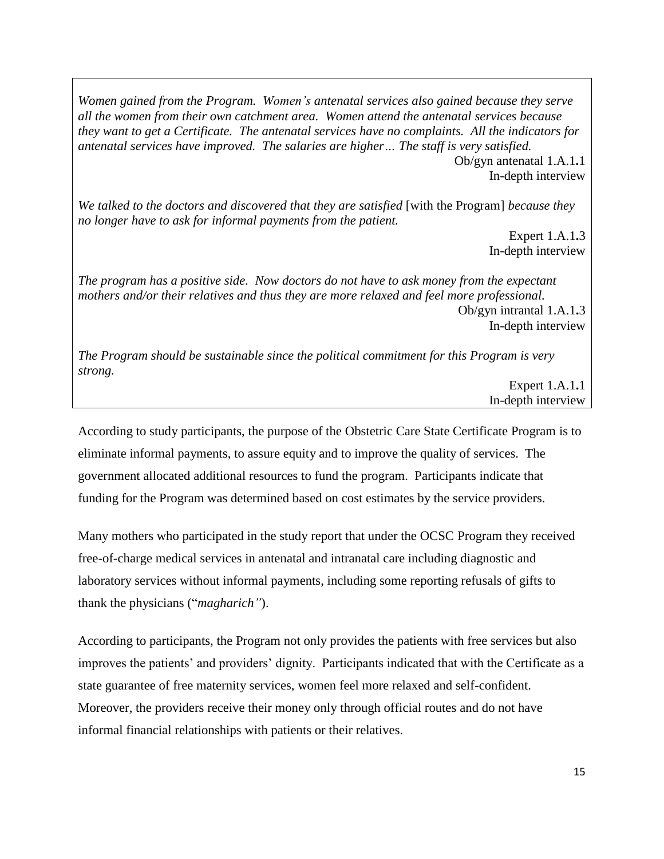*Women gained from the Program. Women's antenatal services also gained because they serve all the women from their own catchment area. Women attend the antenatal services because they want to get a Certificate. The antenatal services have no complaints. All the indicators for antenatal services have improved. The salaries are higher… The staff is very satisfied.*

Ob/gyn antenatal 1.A.1**.**1 In-depth interview

*We talked to the doctors and discovered that they are satisfied* [with the Program] *because they no longer have to ask for informal payments from the patient.*

> Expert 1.A.1**.**3 In-depth interview

*The program has a positive side. Now doctors do not have to ask money from the expectant mothers and/or their relatives and thus they are more relaxed and feel more professional.* Ob/gyn intrantal 1.A.1**.**3 In-depth interview

*The Program should be sustainable since the political commitment for this Program is very strong.*

> Expert 1.A.1**.**1 In-depth interview

According to study participants, the purpose of the Obstetric Care State Certificate Program is to eliminate informal payments, to assure equity and to improve the quality of services. The government allocated additional resources to fund the program. Participants indicate that funding for the Program was determined based on cost estimates by the service providers.

Many mothers who participated in the study report that under the OCSC Program they received free-of-charge medical services in antenatal and intranatal care including diagnostic and laboratory services without informal payments, including some reporting refusals of gifts to thank the physicians ("*magharich"*).

According to participants, the Program not only provides the patients with free services but also improves the patients' and providers' dignity. Participants indicated that with the Certificate as a state guarantee of free maternity services, women feel more relaxed and self-confident. Moreover, the providers receive their money only through official routes and do not have informal financial relationships with patients or their relatives.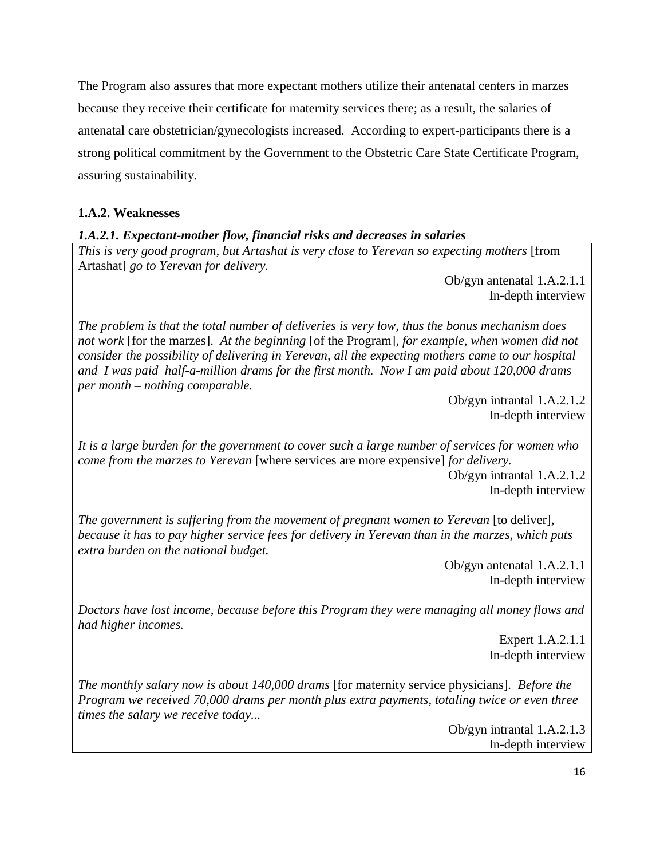The Program also assures that more expectant mothers utilize their antenatal centers in marzes because they receive their certificate for maternity services there; as a result, the salaries of antenatal care obstetrician/gynecologists increased. According to expert-participants there is a strong political commitment by the Government to the Obstetric Care State Certificate Program, assuring sustainability.

## **1.A.2. Weaknesses**

## *1.A.2.1. Expectant-mother flow, financial risks and decreases in salaries*

*This is very good program, but Artashat is very close to Yerevan so expecting mothers* [from Artashat] *go to Yerevan for delivery.*

Ob/gyn antenatal 1.A.2.1.1 In-depth interview

*The problem is that the total number of deliveries is very low, thus the bonus mechanism does not work* [for the marzes]. *At the beginning* [of the Program]*, for example, when women did not consider the possibility of delivering in Yerevan, all the expecting mothers came to our hospital and I was paid half-a-million drams for the first month. Now I am paid about 120,000 drams per month – nothing comparable.*

> Ob/gyn intrantal 1.A.2.1.2 In-depth interview

*It is a large burden for the government to cover such a large number of services for women who come from the marzes to Yerevan* [where services are more expensive] *for delivery.* 

> Ob/gyn intrantal 1.A.2.1.2 In-depth interview

*The government is suffering from the movement of pregnant women to Yerevan* [to deliver]*, because it has to pay higher service fees for delivery in Yerevan than in the marzes, which puts extra burden on the national budget.* 

> Ob/gyn antenatal 1.A.2.1.1 In-depth interview

*Doctors have lost income, because before this Program they were managing all money flows and had higher incomes.*

> Expert 1.A.2.1.1 In-depth interview

*The monthly salary now is about 140,000 drams* [for maternity service physicians]*. Before the Program we received 70,000 drams per month plus extra payments, totaling twice or even three times the salary we receive today...*

> Ob/gyn intrantal 1.A.2.1.3 In-depth interview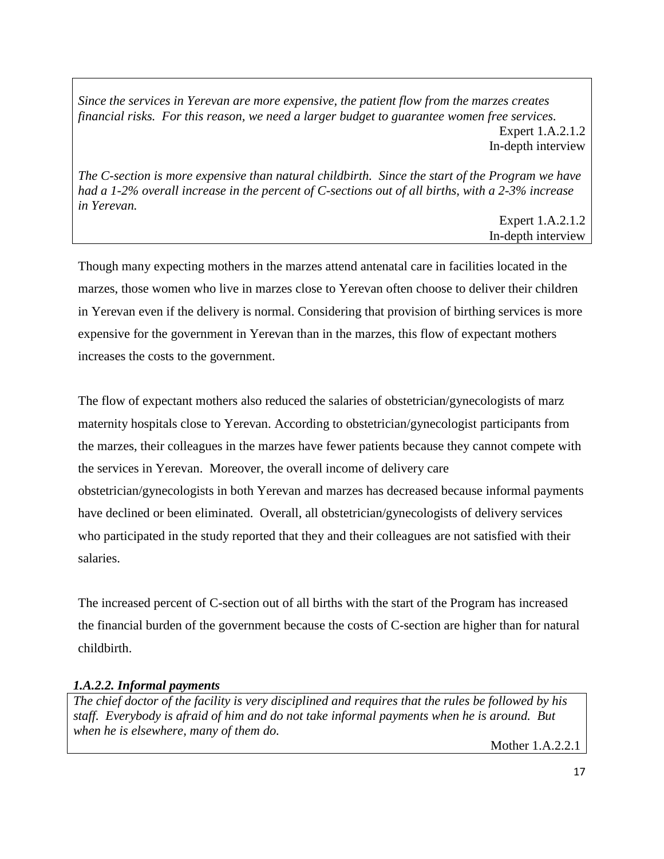*Since the services in Yerevan are more expensive, the patient flow from the marzes creates financial risks. For this reason, we need a larger budget to guarantee women free services.* Expert 1.A.2.1.2 In-depth interview

*The C-section is more expensive than natural childbirth. Since the start of the Program we have had a 1-2% overall increase in the percent of C-sections out of all births, with a 2-3% increase in Yerevan.*

Expert 1.A.2.1.2 In-depth interview

Though many expecting mothers in the marzes attend antenatal care in facilities located in the marzes, those women who live in marzes close to Yerevan often choose to deliver their children in Yerevan even if the delivery is normal. Considering that provision of birthing services is more expensive for the government in Yerevan than in the marzes, this flow of expectant mothers increases the costs to the government.

The flow of expectant mothers also reduced the salaries of obstetrician/gynecologists of marz maternity hospitals close to Yerevan. According to obstetrician/gynecologist participants from the marzes, their colleagues in the marzes have fewer patients because they cannot compete with the services in Yerevan. Moreover, the overall income of delivery care obstetrician/gynecologists in both Yerevan and marzes has decreased because informal payments have declined or been eliminated. Overall, all obstetrician/gynecologists of delivery services who participated in the study reported that they and their colleagues are not satisfied with their salaries.

The increased percent of C-section out of all births with the start of the Program has increased the financial burden of the government because the costs of C-section are higher than for natural childbirth.

# *1.A.2.2. Informal payments*

*The chief doctor of the facility is very disciplined and requires that the rules be followed by his staff. Everybody is afraid of him and do not take informal payments when he is around. But when he is elsewhere, many of them do.*

Mother 1.A.2.2.1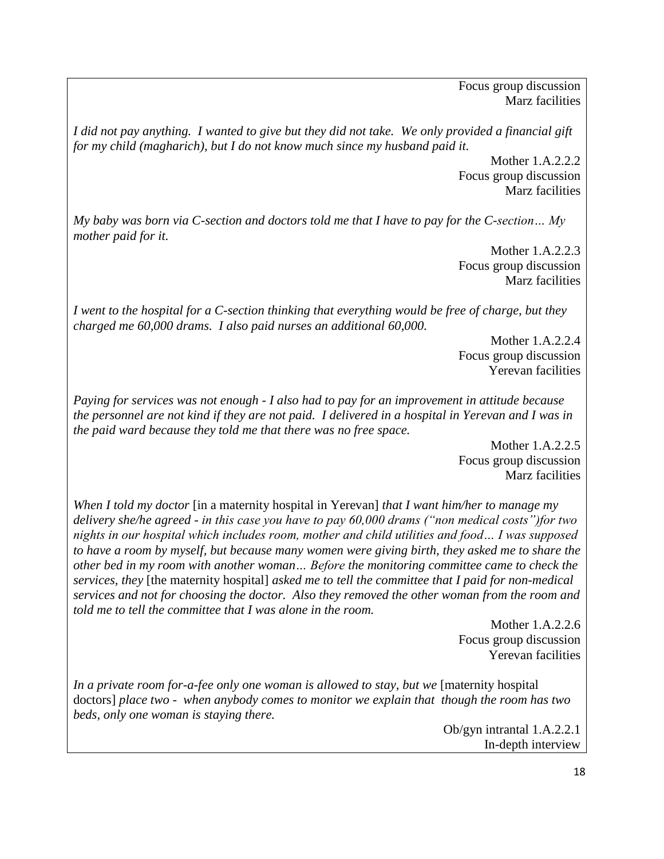Focus group discussion Marz facilities

*I did not pay anything. I wanted to give but they did not take. We only provided a financial gift for my child (magharich), but I do not know much since my husband paid it.*

> Mother 1.A.2.2.2 Focus group discussion Marz facilities

*My baby was born via C-section and doctors told me that I have to pay for the C-section… My mother paid for it.*

> Mother 1.A.2.2.3 Focus group discussion Marz facilities

*I went to the hospital for a C-section thinking that everything would be free of charge, but they charged me 60,000 drams. I also paid nurses an additional 60,000.*

> Mother 1.A.2.2.4 Focus group discussion Yerevan facilities

*Paying for services was not enough - I also had to pay for an improvement in attitude because the personnel are not kind if they are not paid. I delivered in a hospital in Yerevan and I was in the paid ward because they told me that there was no free space.*

> Mother 1.A.2.2.5 Focus group discussion Marz facilities

*When I told my doctor* [in a maternity hospital in Yerevan] *that I want him/her to manage my delivery she/he agreed - in this case you have to pay 60,000 drams ("non medical costs")for two nights in our hospital which includes room, mother and child utilities and food… I was supposed to have a room by myself, but because many women were giving birth, they asked me to share the other bed in my room with another woman… Before the monitoring committee came to check the services, they* [the maternity hospital] *asked me to tell the committee that I paid for non-medical services and not for choosing the doctor. Also they removed the other woman from the room and told me to tell the committee that I was alone in the room.* 

> Mother 1.A.2.2.6 Focus group discussion Yerevan facilities

*In a private room for-a-fee only one woman is allowed to stay, but we* [maternity hospital doctors] *place two - when anybody comes to monitor we explain that though the room has two beds, only one woman is staying there.*

> Ob/gyn intrantal 1.A.2.2.1 In-depth interview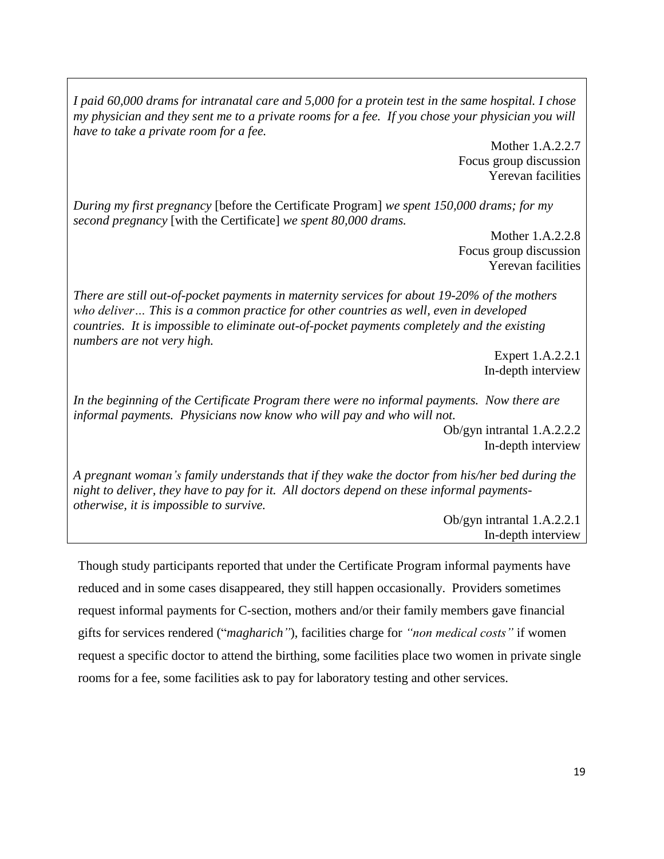*I paid 60,000 drams for intranatal care and 5,000 for a protein test in the same hospital. I chose my physician and they sent me to a private rooms for a fee. If you chose your physician you will have to take a private room for a fee.*

> Mother 1.A.2.2.7 Focus group discussion Yerevan facilities

*During my first pregnancy* [before the Certificate Program] *we spent 150,000 drams; for my second pregnancy* [with the Certificate] *we spent 80,000 drams.* 

> Mother 1.A.2.2.8 Focus group discussion Yerevan facilities

*There are still out-of-pocket payments in maternity services for about 19-20% of the mothers who deliver… This is a common practice for other countries as well, even in developed countries. It is impossible to eliminate out-of-pocket payments completely and the existing numbers are not very high.*

> Expert 1.A.2.2.1 In-depth interview

*In the beginning of the Certificate Program there were no informal payments. Now there are informal payments. Physicians now know who will pay and who will not.* 

> Ob/gyn intrantal 1.A.2.2.2 In-depth interview

*A pregnant woman's family understands that if they wake the doctor from his/her bed during the night to deliver, they have to pay for it. All doctors depend on these informal paymentsotherwise, it is impossible to survive.* 

> Ob/gyn intrantal 1.A.2.2.1 In-depth interview

Though study participants reported that under the Certificate Program informal payments have reduced and in some cases disappeared, they still happen occasionally. Providers sometimes request informal payments for C-section, mothers and/or their family members gave financial gifts for services rendered ("*magharich"*), facilities charge for *"non medical costs"* if women request a specific doctor to attend the birthing, some facilities place two women in private single rooms for a fee, some facilities ask to pay for laboratory testing and other services.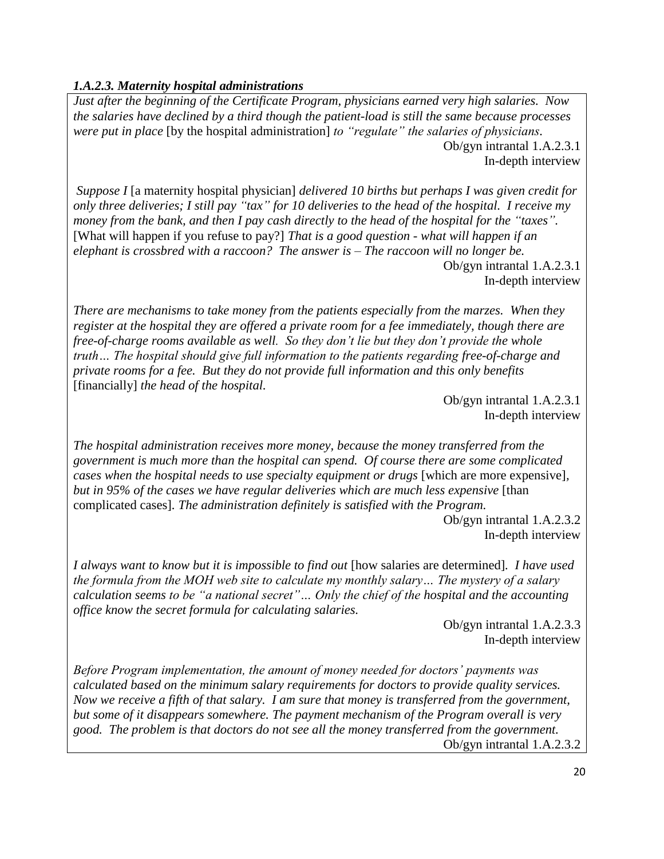# *1.A.2.3. Maternity hospital administrations*

*Just after the beginning of the Certificate Program, physicians earned very high salaries. Now the salaries have declined by a third though the patient-load is still the same because processes were put in place* [by the hospital administration] *to "regulate" the salaries of physicians.* Ob/gyn intrantal 1.A.2.3.1 In-depth interview

*Suppose I* [a maternity hospital physician] *delivered 10 births but perhaps I was given credit for only three deliveries; I still pay "tax" for 10 deliveries to the head of the hospital. I receive my money from the bank, and then I pay cash directly to the head of the hospital for the "taxes".* [What will happen if you refuse to pay?] *That is a good question - what will happen if an elephant is crossbred with a raccoon? The answer is – The raccoon will no longer be.* 

Ob/gyn intrantal 1.A.2.3.1 In-depth interview

*There are mechanisms to take money from the patients especially from the marzes. When they register at the hospital they are offered a private room for a fee immediately, though there are free-of-charge rooms available as well. So they don't lie but they don't provide the whole truth… The hospital should give full information to the patients regarding free-of-charge and private rooms for a fee. But they do not provide full information and this only benefits*  [financially] *the head of the hospital.*

> Ob/gyn intrantal 1.A.2.3.1 In-depth interview

*The hospital administration receives more money, because the money transferred from the government is much more than the hospital can spend. Of course there are some complicated cases when the hospital needs to use specialty equipment or drugs* [which are more expensive]*, but in 95% of the cases we have regular deliveries which are much less expensive* [than complicated cases]*. The administration definitely is satisfied with the Program.*

> Ob/gyn intrantal 1.A.2.3.2 In-depth interview

*I always want to know but it is impossible to find out* [how salaries are determined]*. I have used the formula from the MOH web site to calculate my monthly salary… The mystery of a salary calculation seems to be "a national secret"… Only the chief of the hospital and the accounting office know the secret formula for calculating salaries.*

> Ob/gyn intrantal 1.A.2.3.3 In-depth interview

*Before Program implementation, the amount of money needed for doctors' payments was calculated based on the minimum salary requirements for doctors to provide quality services. Now we receive a fifth of that salary. I am sure that money is transferred from the government, but some of it disappears somewhere. The payment mechanism of the Program overall is very good. The problem is that doctors do not see all the money transferred from the government.*  Ob/gyn intrantal 1.A.2.3.2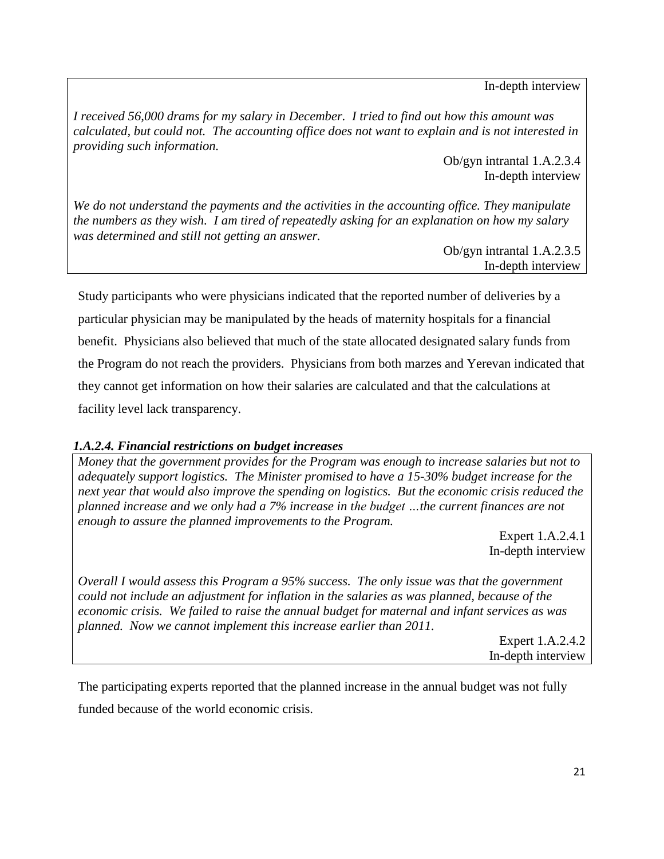In-depth interview

*I received 56,000 drams for my salary in December. I tried to find out how this amount was calculated, but could not. The accounting office does not want to explain and is not interested in providing such information.* 

> Ob/gyn intrantal 1.A.2.3.4 In-depth interview

*We do not understand the payments and the activities in the accounting office. They manipulate the numbers as they wish. I am tired of repeatedly asking for an explanation on how my salary was determined and still not getting an answer.* 

> Ob/gyn intrantal 1.A.2.3.5 In-depth interview

Study participants who were physicians indicated that the reported number of deliveries by a particular physician may be manipulated by the heads of maternity hospitals for a financial benefit. Physicians also believed that much of the state allocated designated salary funds from the Program do not reach the providers. Physicians from both marzes and Yerevan indicated that they cannot get information on how their salaries are calculated and that the calculations at facility level lack transparency.

# *1.A.2.4. Financial restrictions on budget increases*

*Money that the government provides for the Program was enough to increase salaries but not to adequately support logistics. The Minister promised to have a 15-30% budget increase for the next year that would also improve the spending on logistics. But the economic crisis reduced the planned increase and we only had a 7% increase in the budget …the current finances are not enough to assure the planned improvements to the Program.*

> Expert 1.A.2.4.1 In-depth interview

*Overall I would assess this Program a 95% success. The only issue was that the government could not include an adjustment for inflation in the salaries as was planned, because of the economic crisis. We failed to raise the annual budget for maternal and infant services as was planned. Now we cannot implement this increase earlier than 2011.* 

Expert 1.A.2.4.2 In-depth interview

The participating experts reported that the planned increase in the annual budget was not fully funded because of the world economic crisis.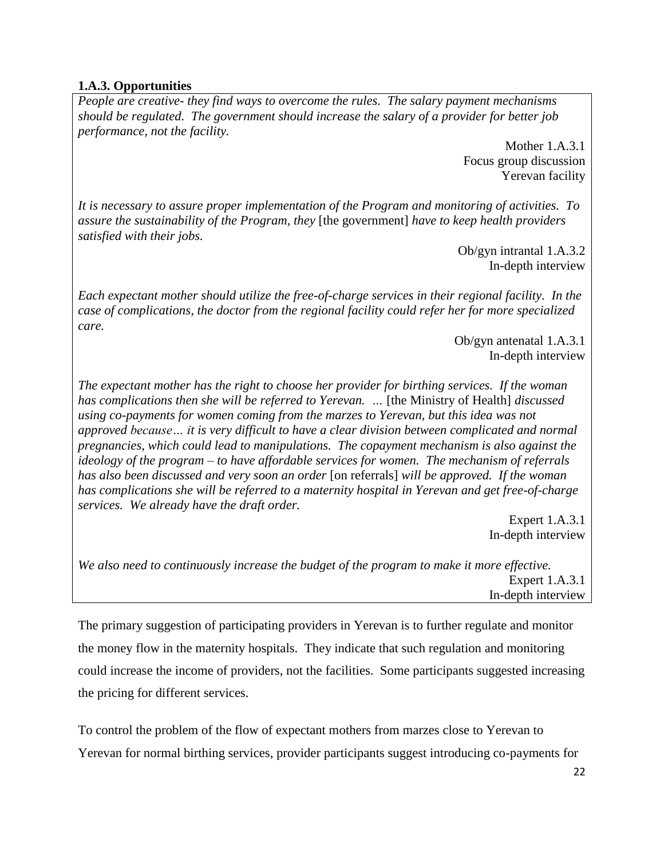# **1.A.3. Opportunities**

*People are creative- they find ways to overcome the rules. The salary payment mechanisms should be regulated. The government should increase the salary of a provider for better job performance, not the facility.*

> Mother 1.A.3.1 Focus group discussion Yerevan facility

*It is necessary to assure proper implementation of the Program and monitoring of activities. To assure the sustainability of the Program, they* [the government] *have to keep health providers satisfied with their jobs.*

Ob/gyn intrantal 1.A.3.2 In-depth interview

*Each expectant mother should utilize the free-of-charge services in their regional facility. In the case of complications, the doctor from the regional facility could refer her for more specialized care.* 

> Ob/gyn antenatal 1.A.3.1 In-depth interview

*The expectant mother has the right to choose her provider for birthing services. If the woman has complications then she will be referred to Yerevan. …* [the Ministry of Health] *discussed using co-payments for women coming from the marzes to Yerevan, but this idea was not approved because… it is very difficult to have a clear division between complicated and normal pregnancies, which could lead to manipulations. The copayment mechanism is also against the ideology of the program – to have affordable services for women. The mechanism of referrals has also been discussed and very soon an order* [on referrals] *will be approved. If the woman has complications she will be referred to a maternity hospital in Yerevan and get free-of-charge services. We already have the draft order.* 

Expert 1.A.3.1 In-depth interview

*We also need to continuously increase the budget of the program to make it more effective.* Expert 1.A.3.1 In-depth interview

The primary suggestion of participating providers in Yerevan is to further regulate and monitor the money flow in the maternity hospitals. They indicate that such regulation and monitoring could increase the income of providers, not the facilities. Some participants suggested increasing the pricing for different services.

To control the problem of the flow of expectant mothers from marzes close to Yerevan to Yerevan for normal birthing services, provider participants suggest introducing co-payments for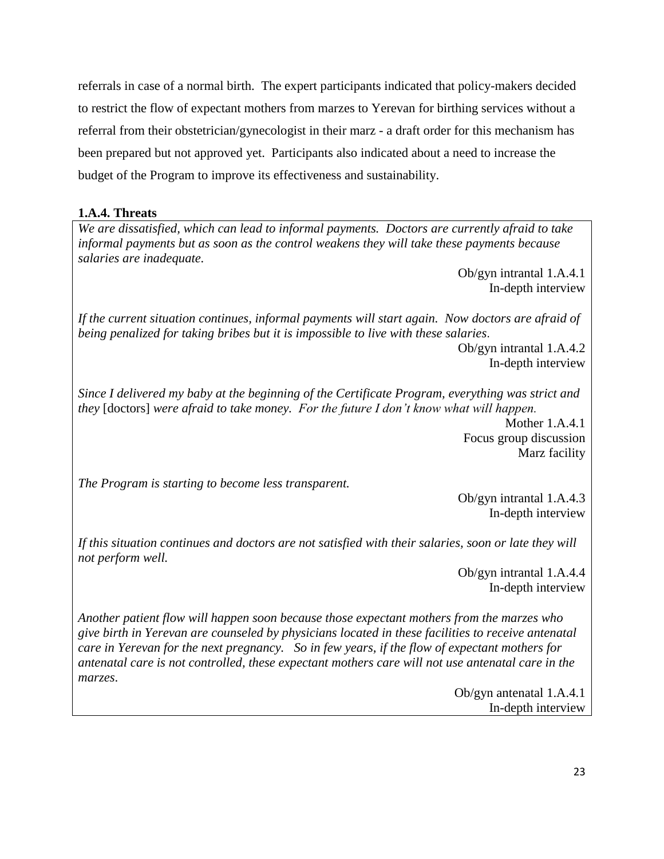referrals in case of a normal birth. The expert participants indicated that policy-makers decided to restrict the flow of expectant mothers from marzes to Yerevan for birthing services without a referral from their obstetrician/gynecologist in their marz - a draft order for this mechanism has been prepared but not approved yet. Participants also indicated about a need to increase the budget of the Program to improve its effectiveness and sustainability.

# **1.A.4. Threats**

*We are dissatisfied, which can lead to informal payments. Doctors are currently afraid to take informal payments but as soon as the control weakens they will take these payments because salaries are inadequate.* 

> Ob/gyn intrantal 1.A.4.1 In-depth interview

*If the current situation continues, informal payments will start again. Now doctors are afraid of being penalized for taking bribes but it is impossible to live with these salaries*.

> Ob/gyn intrantal 1.A.4.2 In-depth interview

*Since I delivered my baby at the beginning of the Certificate Program, everything was strict and they* [doctors] *were afraid to take money. For the future I don't know what will happen.*

Mother 1.A.4.1 Focus group discussion Marz facility

*The Program is starting to become less transparent.*

Ob/gyn intrantal 1.A.4.3 In-depth interview

*If this situation continues and doctors are not satisfied with their salaries, soon or late they will not perform well.* 

> Ob/gyn intrantal 1.A.4.4 In-depth interview

*Another patient flow will happen soon because those expectant mothers from the marzes who give birth in Yerevan are counseled by physicians located in these facilities to receive antenatal care in Yerevan for the next pregnancy. So in few years, if the flow of expectant mothers for antenatal care is not controlled, these expectant mothers care will not use antenatal care in the marzes*.

Ob/gyn antenatal 1.A.4.1 In-depth interview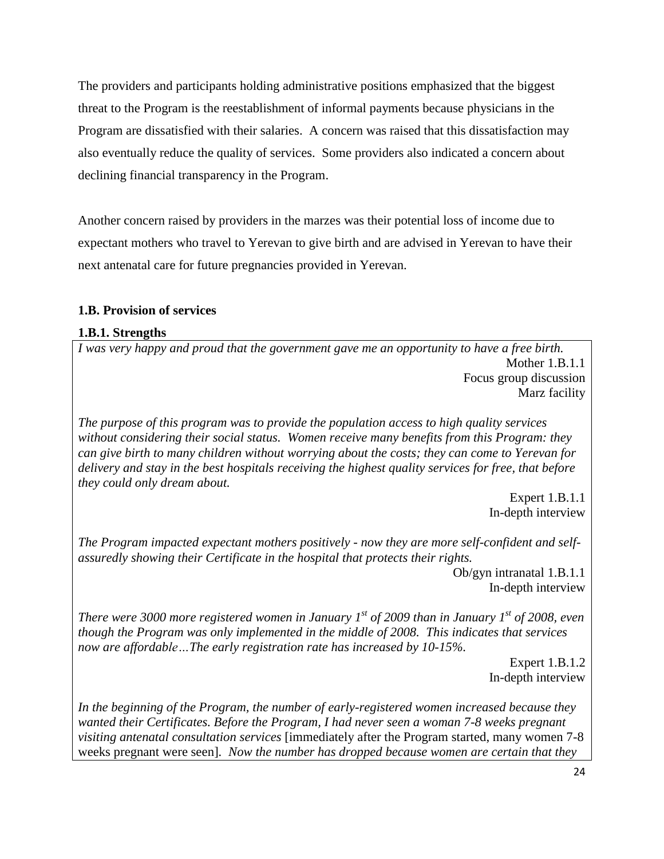The providers and participants holding administrative positions emphasized that the biggest threat to the Program is the reestablishment of informal payments because physicians in the Program are dissatisfied with their salaries. A concern was raised that this dissatisfaction may also eventually reduce the quality of services. Some providers also indicated a concern about declining financial transparency in the Program.

Another concern raised by providers in the marzes was their potential loss of income due to expectant mothers who travel to Yerevan to give birth and are advised in Yerevan to have their next antenatal care for future pregnancies provided in Yerevan.

# <span id="page-28-0"></span>**1.B. Provision of services**

### **1.B.1. Strengths**

*I was very happy and proud that the government gave me an opportunity to have a free birth.* Mother 1.B.1.1 Focus group discussion Marz facility

*The purpose of this program was to provide the population access to high quality services without considering their social status. Women receive many benefits from this Program: they can give birth to many children without worrying about the costs; they can come to Yerevan for delivery and stay in the best hospitals receiving the highest quality services for free, that before they could only dream about.* 

> Expert 1.B.1.1 In-depth interview

*The Program impacted expectant mothers positively - now they are more self-confident and selfassuredly showing their Certificate in the hospital that protects their rights.*

> Ob/gyn intranatal 1.B.1.1 In-depth interview

*There were 3000 more registered women in January 1st of 2009 than in January 1st of 2008, even though the Program was only implemented in the middle of 2008. This indicates that services now are affordable…The early registration rate has increased by 10-15%.*

> Expert 1.B.1.2 In-depth interview

*In the beginning of the Program, the number of early-registered women increased because they wanted their Certificates. Before the Program, I had never seen a woman 7-8 weeks pregnant visiting antenatal consultation services* [immediately after the Program started, many women 7-8 weeks pregnant were seen]*. Now the number has dropped because women are certain that they*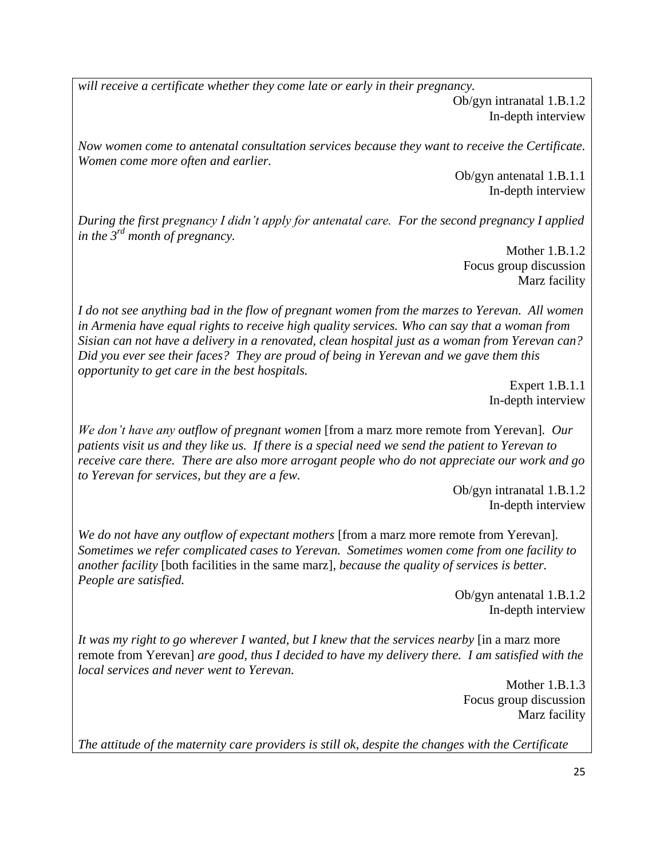*will receive a certificate whether they come late or early in their pregnancy.* Ob/gyn intranatal 1.B.1.2 In-depth interview

*Now women come to antenatal consultation services because they want to receive the Certificate. Women come more often and earlier.*

> Ob/gyn antenatal 1.B.1.1 In-depth interview

*During the first pregnancy I didn't apply for antenatal care. For the second pregnancy I applied in the 3 rd month of pregnancy.*

> Mother 1.B.1.2 Focus group discussion Marz facility

*I do not see anything bad in the flow of pregnant women from the marzes to Yerevan. All women in Armenia have equal rights to receive high quality services. Who can say that a woman from Sisian can not have a delivery in a renovated, clean hospital just as a woman from Yerevan can? Did you ever see their faces? They are proud of being in Yerevan and we gave them this opportunity to get care in the best hospitals.*

> Expert 1.B.1.1 In-depth interview

*We don't have any outflow of pregnant women* [from a marz more remote from Yerevan]*. Our patients visit us and they like us. If there is a special need we send the patient to Yerevan to receive care there. There are also more arrogant people who do not appreciate our work and go to Yerevan for services, but they are a few.* 

> Ob/gyn intranatal 1.B.1.2 In-depth interview

*We do not have any outflow of expectant mothers* [from a marz more remote from Yerevan]*. Sometimes we refer complicated cases to Yerevan. Sometimes women come from one facility to another facility* [both facilities in the same marz]*, because the quality of services is better. People are satisfied.*

> Ob/gyn antenatal 1.B.1.2 In-depth interview

*It was my right to go wherever I wanted, but I knew that the services nearby* [in a marz more remote from Yerevan] *are good, thus I decided to have my delivery there. I am satisfied with the local services and never went to Yerevan.*

> Mother 1.B.1.3 Focus group discussion Marz facility

*The attitude of the maternity care providers is still ok, despite the changes with the Certificate*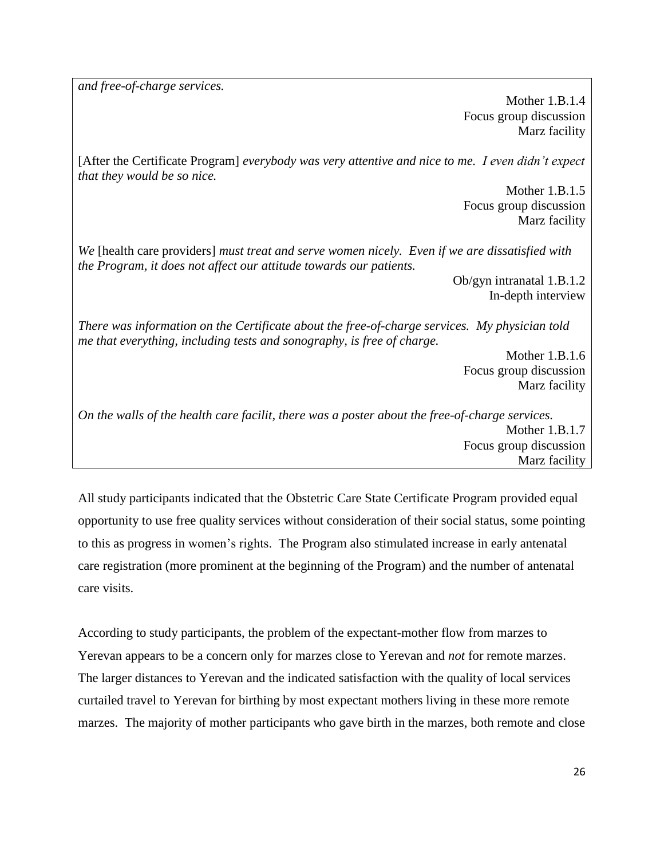*and free-of-charge services.*

Mother 1.B.1.4 Focus group discussion Marz facility

[After the Certificate Program] *everybody was very attentive and nice to me. I even didn't expect that they would be so nice.*

> Mother 1.B.1.5 Focus group discussion Marz facility

*We* [health care providers] *must treat and serve women nicely. Even if we are dissatisfied with the Program, it does not affect our attitude towards our patients.* 

> Ob/gyn intranatal 1.B.1.2 In-depth interview

*There was information on the Certificate about the free-of-charge services. My physician told me that everything, including tests and sonography, is free of charge.*

> Mother 1.B.1.6 Focus group discussion Marz facility

*On the walls of the health care facilit, there was a poster about the free-of-charge services.* Mother 1.B.1.7 Focus group discussion Marz facility

All study participants indicated that the Obstetric Care State Certificate Program provided equal opportunity to use free quality services without consideration of their social status, some pointing to this as progress in women's rights. The Program also stimulated increase in early antenatal care registration (more prominent at the beginning of the Program) and the number of antenatal care visits.

According to study participants, the problem of the expectant-mother flow from marzes to Yerevan appears to be a concern only for marzes close to Yerevan and *not* for remote marzes. The larger distances to Yerevan and the indicated satisfaction with the quality of local services curtailed travel to Yerevan for birthing by most expectant mothers living in these more remote marzes. The majority of mother participants who gave birth in the marzes, both remote and close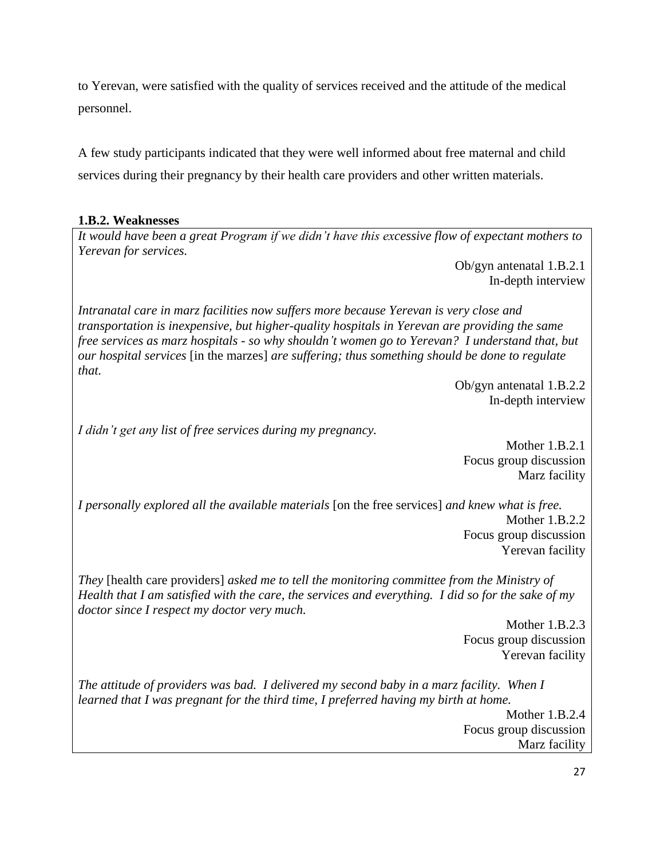to Yerevan, were satisfied with the quality of services received and the attitude of the medical personnel.

A few study participants indicated that they were well informed about free maternal and child services during their pregnancy by their health care providers and other written materials.

# **1.B.2. Weaknesses**

*It would have been a great Program if we didn't have this excessive flow of expectant mothers to Yerevan for services.*

> Ob/gyn antenatal 1.B.2.1 In-depth interview

*Intranatal care in marz facilities now suffers more because Yerevan is very close and transportation is inexpensive, but higher-quality hospitals in Yerevan are providing the same free services as marz hospitals - so why shouldn't women go to Yerevan? I understand that, but our hospital services* [in the marzes] *are suffering; thus something should be done to regulate that.* 

> Ob/gyn antenatal 1.B.2.2 In-depth interview

*I didn't get any list of free services during my pregnancy.* 

Mother 1.B.2.1 Focus group discussion Marz facility

*I personally explored all the available materials* [on the free services] *and knew what is free.*  Mother 1.B.2.2 Focus group discussion Yerevan facility

*They* [health care providers] *asked me to tell the monitoring committee from the Ministry of Health that I am satisfied with the care, the services and everything. I did so for the sake of my doctor since I respect my doctor very much.*

> Mother 1.B.2.3 Focus group discussion Yerevan facility

*The attitude of providers was bad. I delivered my second baby in a marz facility. When I learned that I was pregnant for the third time, I preferred having my birth at home.*

> Mother 1.B.2.4 Focus group discussion Marz facility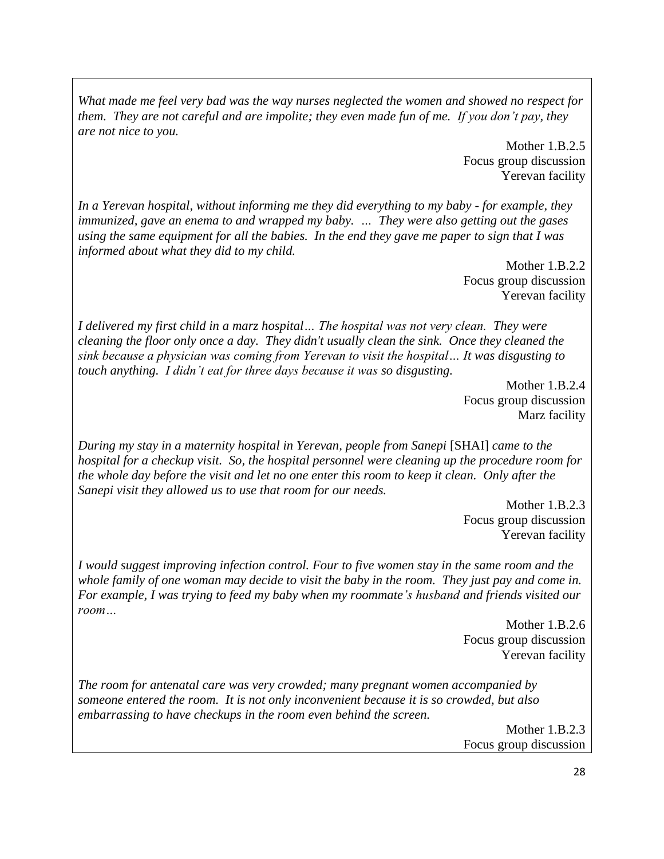*What made me feel very bad was the way nurses neglected the women and showed no respect for them. They are not careful and are impolite; they even made fun of me. If you don't pay, they are not nice to you.*

> Mother 1.B.2.5 Focus group discussion Yerevan facility

*In a Yerevan hospital, without informing me they did everything to my baby - for example, they immunized, gave an enema to and wrapped my baby. … They were also getting out the gases using the same equipment for all the babies. In the end they gave me paper to sign that I was informed about what they did to my child.*

> Mother 1.B.2.2 Focus group discussion Yerevan facility

*I delivered my first child in a marz hospital… The hospital was not very clean. They were cleaning the floor only once a day. They didn't usually clean the sink. Once they cleaned the sink because a physician was coming from Yerevan to visit the hospital… It was disgusting to touch anything. I didn't eat for three days because it was so disgusting.*

> Mother 1.B.2.4 Focus group discussion Marz facility

*During my stay in a maternity hospital in Yerevan, people from Sanepi* [SHAI] *came to the hospital for a checkup visit. So, the hospital personnel were cleaning up the procedure room for the whole day before the visit and let no one enter this room to keep it clean. Only after the Sanepi visit they allowed us to use that room for our needs.*

> Mother 1.B.2.3 Focus group discussion Yerevan facility

*I would suggest improving infection control. Four to five women stay in the same room and the whole family of one woman may decide to visit the baby in the room. They just pay and come in. For example, I was trying to feed my baby when my roommate's husband and friends visited our room…*

> Mother 1.B.2.6 Focus group discussion Yerevan facility

*The room for antenatal care was very crowded; many pregnant women accompanied by someone entered the room. It is not only inconvenient because it is so crowded, but also embarrassing to have checkups in the room even behind the screen.*

Mother 1.B.2.3 Focus group discussion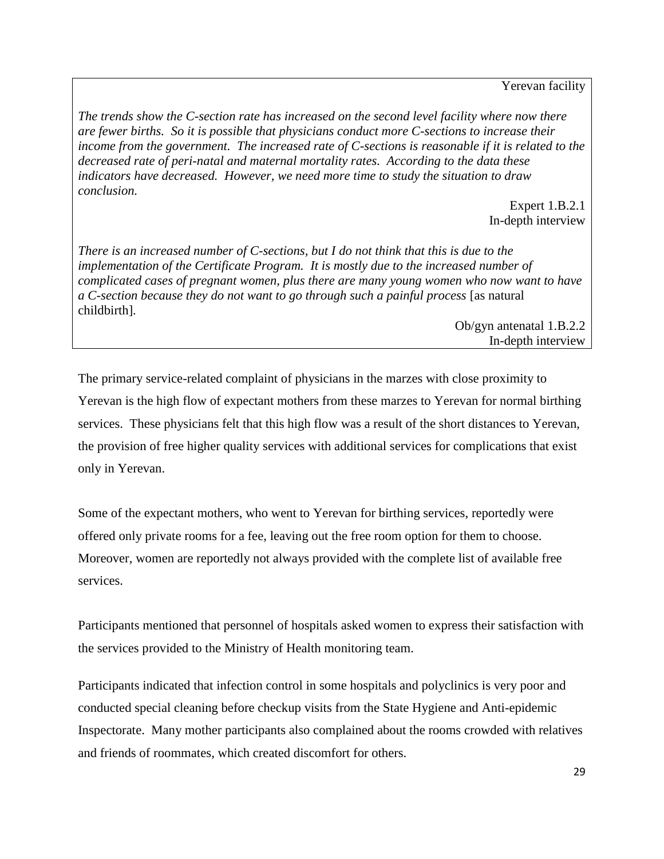Yerevan facility

*The trends show the C-section rate has increased on the second level facility where now there are fewer births. So it is possible that physicians conduct more C-sections to increase their income from the government. The increased rate of C-sections is reasonable if it is related to the decreased rate of peri-natal and maternal mortality rates. According to the data these indicators have decreased. However, we need more time to study the situation to draw conclusion.* 

> Expert 1.B.2.1 In-depth interview

*There is an increased number of C-sections, but I do not think that this is due to the implementation of the Certificate Program. It is mostly due to the increased number of complicated cases of pregnant women, plus there are many young women who now want to have a C-section because they do not want to go through such a painful process* [as natural childbirth]*.* 

> Ob/gyn antenatal 1.B.2.2 In-depth interview

The primary service-related complaint of physicians in the marzes with close proximity to Yerevan is the high flow of expectant mothers from these marzes to Yerevan for normal birthing services. These physicians felt that this high flow was a result of the short distances to Yerevan, the provision of free higher quality services with additional services for complications that exist only in Yerevan.

Some of the expectant mothers, who went to Yerevan for birthing services, reportedly were offered only private rooms for a fee, leaving out the free room option for them to choose. Moreover, women are reportedly not always provided with the complete list of available free services.

Participants mentioned that personnel of hospitals asked women to express their satisfaction with the services provided to the Ministry of Health monitoring team.

Participants indicated that infection control in some hospitals and polyclinics is very poor and conducted special cleaning before checkup visits from the State Hygiene and Anti-epidemic Inspectorate. Many mother participants also complained about the rooms crowded with relatives and friends of roommates, which created discomfort for others.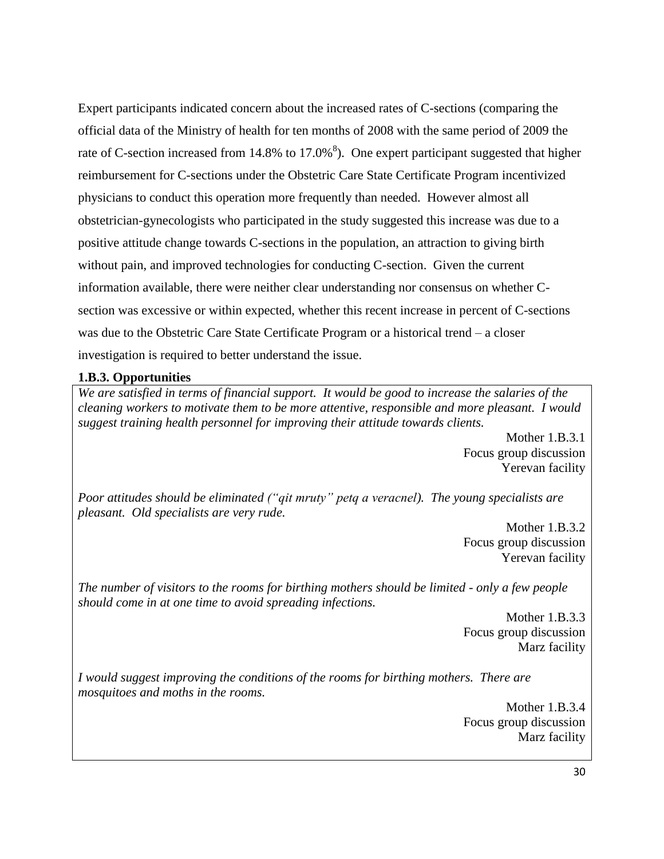Expert participants indicated concern about the increased rates of C-sections (comparing the official data of the Ministry of health for ten months of 2008 with the same period of 2009 the rate of C-section increased from 14.8% to 17.0%<sup>8</sup>). One expert participant suggested that higher reimbursement for C-sections under the Obstetric Care State Certificate Program incentivized physicians to conduct this operation more frequently than needed. However almost all obstetrician-gynecologists who participated in the study suggested this increase was due to a positive attitude change towards C-sections in the population, an attraction to giving birth without pain, and improved technologies for conducting C-section. Given the current information available, there were neither clear understanding nor consensus on whether Csection was excessive or within expected, whether this recent increase in percent of C-sections was due to the Obstetric Care State Certificate Program or a historical trend – a closer investigation is required to better understand the issue.

## **1.B.3. Opportunities**

*We are satisfied in terms of financial support. It would be good to increase the salaries of the cleaning workers to motivate them to be more attentive, responsible and more pleasant. I would suggest training health personnel for improving their attitude towards clients.*

Mother 1.B.3.1 Focus group discussion Yerevan facility

*Poor attitudes should be eliminated ("qit mruty" petq a veracnel). The young specialists are pleasant. Old specialists are very rude.*

> Mother 1.B.3.2 Focus group discussion Yerevan facility

*The number of visitors to the rooms for birthing mothers should be limited - only a few people should come in at one time to avoid spreading infections.*

> Mother 1.B.3.3 Focus group discussion Marz facility

*I would suggest improving the conditions of the rooms for birthing mothers. There are mosquitoes and moths in the rooms.*

> Mother 1.B.3.4 Focus group discussion Marz facility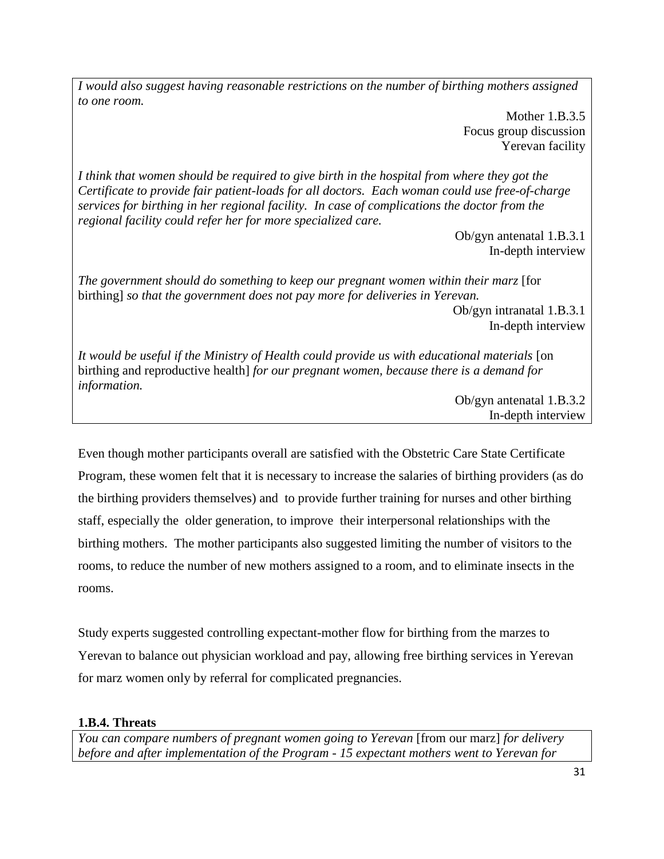*I would also suggest having reasonable restrictions on the number of birthing mothers assigned to one room.*

> Mother 1.B.3.5 Focus group discussion Yerevan facility

*I think that women should be required to give birth in the hospital from where they got the Certificate to provide fair patient-loads for all doctors. Each woman could use free-of-charge services for birthing in her regional facility. In case of complications the doctor from the regional facility could refer her for more specialized care.*

Ob/gyn antenatal 1.B.3.1 In-depth interview

*The government should do something to keep our pregnant women within their marz* [for birthing] *so that the government does not pay more for deliveries in Yerevan.* Ob/gyn intranatal 1.B.3.1

In-depth interview

*It would be useful if the Ministry of Health could provide us with educational materials* [on birthing and reproductive health] *for our pregnant women, because there is a demand for information.*

> Ob/gyn antenatal 1.B.3.2 In-depth interview

Even though mother participants overall are satisfied with the Obstetric Care State Certificate Program, these women felt that it is necessary to increase the salaries of birthing providers (as do the birthing providers themselves) and to provide further training for nurses and other birthing staff, especially the older generation, to improve their interpersonal relationships with the birthing mothers. The mother participants also suggested limiting the number of visitors to the rooms, to reduce the number of new mothers assigned to a room, and to eliminate insects in the rooms.

Study experts suggested controlling expectant-mother flow for birthing from the marzes to Yerevan to balance out physician workload and pay, allowing free birthing services in Yerevan for marz women only by referral for complicated pregnancies.

# **1.B.4. Threats**

*You can compare numbers of pregnant women going to Yerevan* [from our marz] *for delivery before and after implementation of the Program - 15 expectant mothers went to Yerevan for*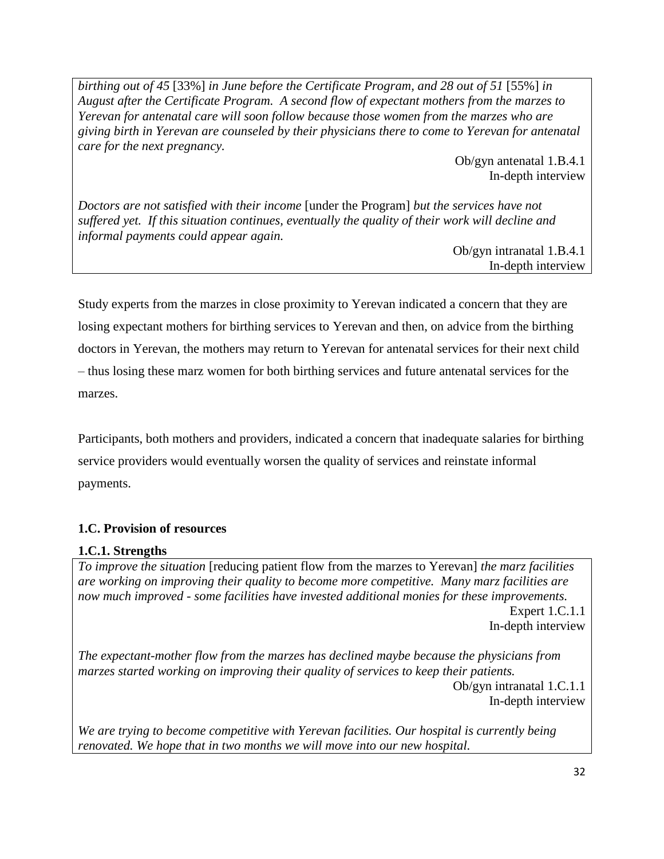*birthing out of 45* [33%] *in June before the Certificate Program, and 28 out of 51* [55%] *in August after the Certificate Program. A second flow of expectant mothers from the marzes to Yerevan for antenatal care will soon follow because those women from the marzes who are giving birth in Yerevan are counseled by their physicians there to come to Yerevan for antenatal care for the next pregnancy.*

> Ob/gyn antenatal 1.B.4.1 In-depth interview

*Doctors are not satisfied with their income* [under the Program] *but the services have not suffered yet. If this situation continues, eventually the quality of their work will decline and informal payments could appear again.*

Ob/gyn intranatal 1.B.4.1 In-depth interview

Study experts from the marzes in close proximity to Yerevan indicated a concern that they are losing expectant mothers for birthing services to Yerevan and then, on advice from the birthing doctors in Yerevan, the mothers may return to Yerevan for antenatal services for their next child – thus losing these marz women for both birthing services and future antenatal services for the marzes.

Participants, both mothers and providers, indicated a concern that inadequate salaries for birthing service providers would eventually worsen the quality of services and reinstate informal payments.

# <span id="page-36-0"></span>**1.C. Provision of resources**

# **1.C.1. Strengths**

*To improve the situation* [reducing patient flow from the marzes to Yerevan] *the marz facilities are working on improving their quality to become more competitive. Many marz facilities are now much improved - some facilities have invested additional monies for these improvements.* Expert 1.C.1.1 In-depth interview

*The expectant-mother flow from the marzes has declined maybe because the physicians from marzes started working on improving their quality of services to keep their patients.* Ob/gyn intranatal 1.C.1.1 In-depth interview

*We are trying to become competitive with Yerevan facilities. Our hospital is currently being renovated. We hope that in two months we will move into our new hospital.*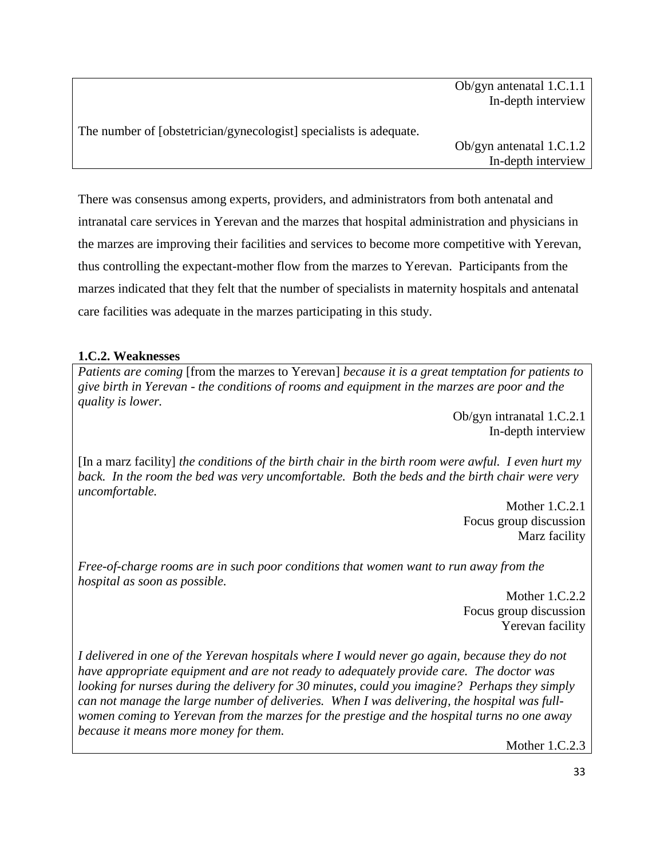Ob/gyn antenatal 1.C.1.1 In-depth interview

The number of [obstetrician/gynecologist] specialists is adequate.

Ob/gyn antenatal 1.C.1.2 In-depth interview

There was consensus among experts, providers, and administrators from both antenatal and intranatal care services in Yerevan and the marzes that hospital administration and physicians in the marzes are improving their facilities and services to become more competitive with Yerevan, thus controlling the expectant-mother flow from the marzes to Yerevan. Participants from the marzes indicated that they felt that the number of specialists in maternity hospitals and antenatal care facilities was adequate in the marzes participating in this study.

# **1.C.2. Weaknesses**

*Patients are coming* [from the marzes to Yerevan] *because it is a great temptation for patients to give birth in Yerevan - the conditions of rooms and equipment in the marzes are poor and the quality is lower.*

> Ob/gyn intranatal 1.C.2.1 In-depth interview

[In a marz facility] *the conditions of the birth chair in the birth room were awful. I even hurt my back. In the room the bed was very uncomfortable. Both the beds and the birth chair were very uncomfortable.*

> Mother 1.C.2.1 Focus group discussion Marz facility

*Free-of-charge rooms are in such poor conditions that women want to run away from the hospital as soon as possible.*

Mother 1.C.2.2 Focus group discussion Yerevan facility

*I delivered in one of the Yerevan hospitals where I would never go again, because they do not have appropriate equipment and are not ready to adequately provide care. The doctor was looking for nurses during the delivery for 30 minutes, could you imagine? Perhaps they simply can not manage the large number of deliveries. When I was delivering, the hospital was fullwomen coming to Yerevan from the marzes for the prestige and the hospital turns no one away because it means more money for them.*

Mother 1.C.2.3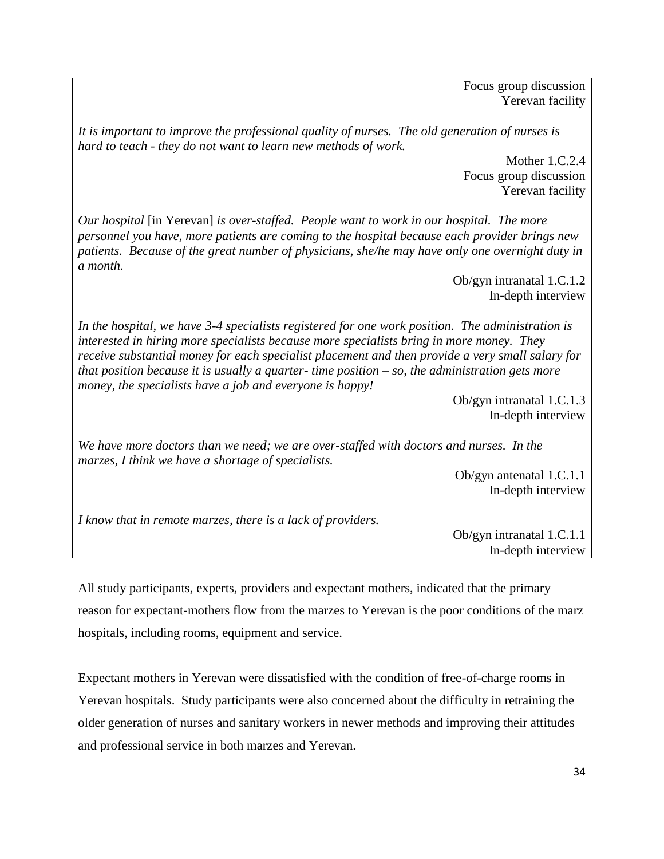Focus group discussion Yerevan facility

*It is important to improve the professional quality of nurses. The old generation of nurses is hard to teach - they do not want to learn new methods of work.*

> Mother 1.C.2.4 Focus group discussion Yerevan facility

*Our hospital* [in Yerevan] *is over-staffed. People want to work in our hospital. The more personnel you have, more patients are coming to the hospital because each provider brings new patients. Because of the great number of physicians, she/he may have only one overnight duty in a month.*

> Ob/gyn intranatal 1.C.1.2 In-depth interview

*In the hospital, we have 3-4 specialists registered for one work position. The administration is interested in hiring more specialists because more specialists bring in more money. They receive substantial money for each specialist placement and then provide a very small salary for that position because it is usually a quarter- time position – so, the administration gets more money, the specialists have a job and everyone is happy!* 

> Ob/gyn intranatal 1.C.1.3 In-depth interview

*We have more doctors than we need; we are over-staffed with doctors and nurses. In the marzes, I think we have a shortage of specialists.*

> Ob/gyn antenatal 1.C.1.1 In-depth interview

*I know that in remote marzes, there is a lack of providers.*

Ob/gyn intranatal 1.C.1.1 In-depth interview

All study participants, experts, providers and expectant mothers, indicated that the primary reason for expectant-mothers flow from the marzes to Yerevan is the poor conditions of the marz hospitals, including rooms, equipment and service.

Expectant mothers in Yerevan were dissatisfied with the condition of free-of-charge rooms in Yerevan hospitals. Study participants were also concerned about the difficulty in retraining the older generation of nurses and sanitary workers in newer methods and improving their attitudes and professional service in both marzes and Yerevan.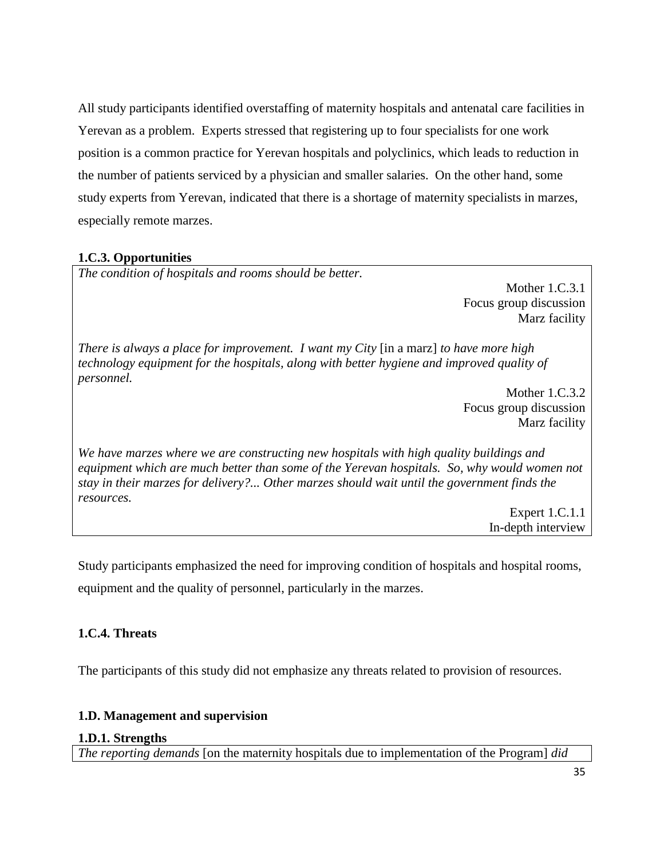All study participants identified overstaffing of maternity hospitals and antenatal care facilities in Yerevan as a problem. Experts stressed that registering up to four specialists for one work position is a common practice for Yerevan hospitals and polyclinics, which leads to reduction in the number of patients serviced by a physician and smaller salaries. On the other hand, some study experts from Yerevan, indicated that there is a shortage of maternity specialists in marzes, especially remote marzes.

# **1.C.3. Opportunities**

*The condition of hospitals and rooms should be better.*

Mother 1.C.3.1 Focus group discussion Marz facility

*There is always a place for improvement. I want my City* [in a marz] *to have more high technology equipment for the hospitals, along with better hygiene and improved quality of personnel.*

> Mother 1.C.3.2 Focus group discussion Marz facility

*We have marzes where we are constructing new hospitals with high quality buildings and equipment which are much better than some of the Yerevan hospitals. So, why would women not stay in their marzes for delivery?... Other marzes should wait until the government finds the resources.*

> Expert 1.C.1.1 In-depth interview

Study participants emphasized the need for improving condition of hospitals and hospital rooms, equipment and the quality of personnel, particularly in the marzes.

# **1.C.4. Threats**

The participants of this study did not emphasize any threats related to provision of resources.

# <span id="page-39-0"></span>**1.D. Management and supervision**

### **1.D.1. Strengths**

*The reporting demands* [on the maternity hospitals due to implementation of the Program] *did*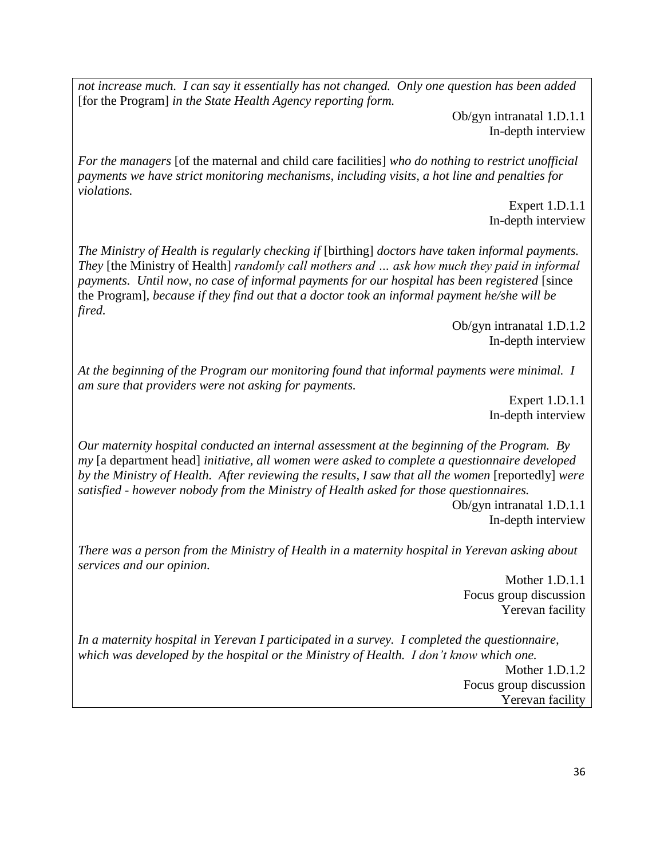*not increase much. I can say it essentially has not changed. Only one question has been added*  [for the Program] *in the State Health Agency reporting form.*

> Ob/gyn intranatal 1.D.1.1 In-depth interview

*For the managers* [of the maternal and child care facilities] *who do nothing to restrict unofficial payments we have strict monitoring mechanisms, including visits, a hot line and penalties for violations.*

> Expert 1.D.1.1 In-depth interview

*The Ministry of Health is regularly checking if* [birthing] *doctors have taken informal payments. They* [the Ministry of Health] *randomly call mothers and … ask how much they paid in informal payments. Until now, no case of informal payments for our hospital has been registered* [since the Program]*, because if they find out that a doctor took an informal payment he/she will be fired.*

> Ob/gyn intranatal 1.D.1.2 In-depth interview

*At the beginning of the Program our monitoring found that informal payments were minimal. I am sure that providers were not asking for payments.*

> Expert 1.D.1.1 In-depth interview

*Our maternity hospital conducted an internal assessment at the beginning of the Program. By my* [a department head] *initiative, all women were asked to complete a questionnaire developed by the Ministry of Health. After reviewing the results, I saw that all the women* [reportedly] *were satisfied - however nobody from the Ministry of Health asked for those questionnaires.* 

Ob/gyn intranatal 1.D.1.1 In-depth interview

*There was a person from the Ministry of Health in a maternity hospital in Yerevan asking about services and our opinion.*

> Mother 1.D.1.1 Focus group discussion Yerevan facility

*In a maternity hospital in Yerevan I participated in a survey. I completed the questionnaire, which was developed by the hospital or the Ministry of Health. I don't know which one.*

> Mother 1.D.1.2 Focus group discussion Yerevan facility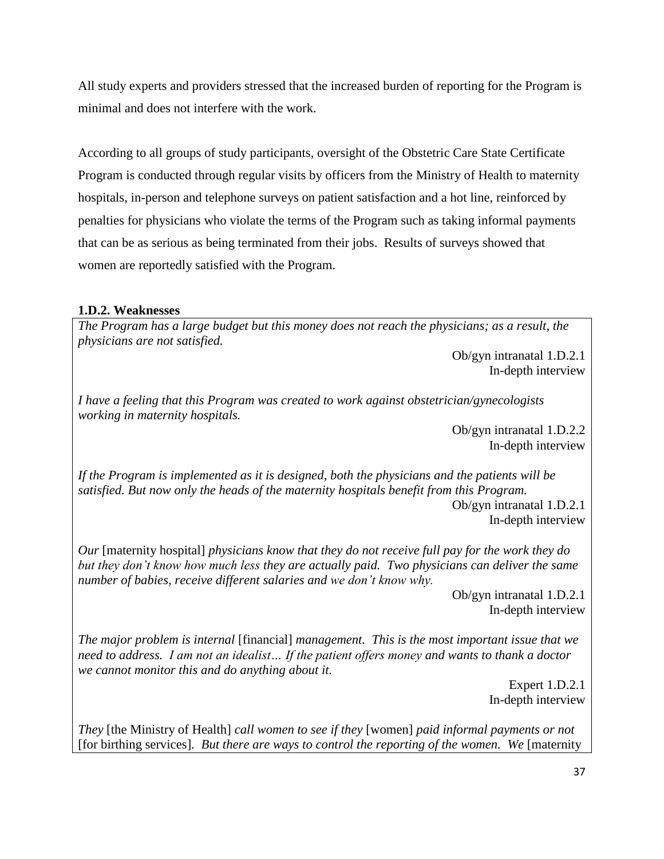All study experts and providers stressed that the increased burden of reporting for the Program is minimal and does not interfere with the work.

According to all groups of study participants, oversight of the Obstetric Care State Certificate Program is conducted through regular visits by officers from the Ministry of Health to maternity hospitals, in-person and telephone surveys on patient satisfaction and a hot line, reinforced by penalties for physicians who violate the terms of the Program such as taking informal payments that can be as serious as being terminated from their jobs. Results of surveys showed that women are reportedly satisfied with the Program.

### **1.D.2. Weaknesses**

*The Program has a large budget but this money does not reach the physicians; as a result, the physicians are not satisfied.*

Ob/gyn intranatal 1.D.2.1 In-depth interview

*I have a feeling that this Program was created to work against obstetrician/gynecologists working in maternity hospitals.* 

> Ob/gyn intranatal 1.D.2.2 In-depth interview

*If the Program is implemented as it is designed, both the physicians and the patients will be satisfied. But now only the heads of the maternity hospitals benefit from this Program.* Ob/gyn intranatal 1.D.2.1 In-depth interview

*Our* [maternity hospital] *physicians know that they do not receive full pay for the work they do but they don't know how much less they are actually paid. Two physicians can deliver the same number of babies, receive different salaries and we don't know why.*

> Ob/gyn intranatal 1.D.2.1 In-depth interview

*The major problem is internal* [financial] *management. This is the most important issue that we need to address. I am not an idealist… If the patient offers money and wants to thank a doctor we cannot monitor this and do anything about it.*

> Expert 1.D.2.1 In-depth interview

*They* [the Ministry of Health] *call women to see if they* [women] *paid informal payments or not*  [for birthing services]*. But there are ways to control the reporting of the women. We* [maternity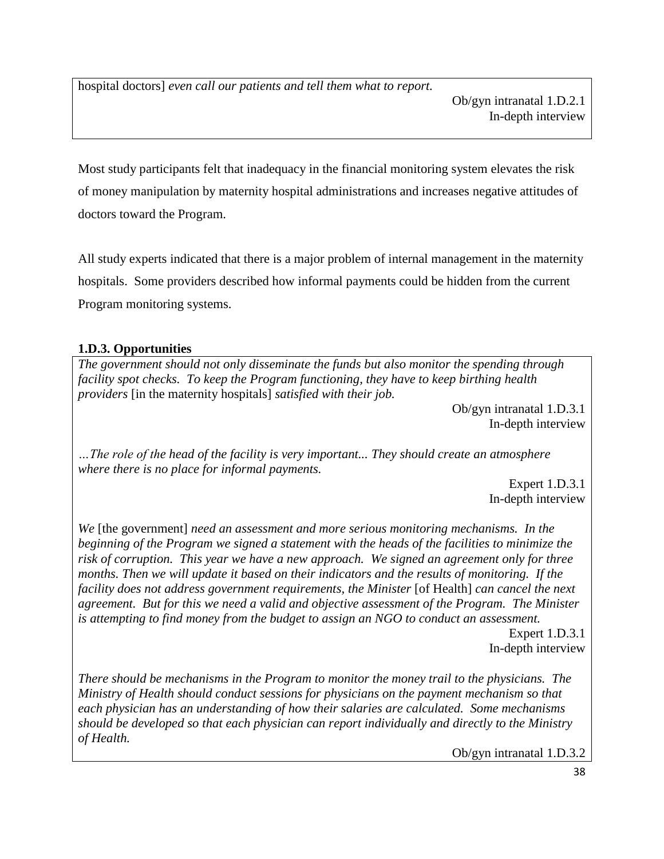hospital doctors] *even call our patients and tell them what to report.*

Most study participants felt that inadequacy in the financial monitoring system elevates the risk of money manipulation by maternity hospital administrations and increases negative attitudes of doctors toward the Program.

All study experts indicated that there is a major problem of internal management in the maternity hospitals. Some providers described how informal payments could be hidden from the current Program monitoring systems.

# **1.D.3. Opportunities**

*The government should not only disseminate the funds but also monitor the spending through facility spot checks. To keep the Program functioning, they have to keep birthing health providers* [in the maternity hospitals] *satisfied with their job.*

> Ob/gyn intranatal 1.D.3.1 In-depth interview

*…The role of the head of the facility is very important... They should create an atmosphere where there is no place for informal payments.*

> Expert 1.D.3.1 In-depth interview

*We* [the government] *need an assessment and more serious monitoring mechanisms. In the beginning of the Program we signed a statement with the heads of the facilities to minimize the risk of corruption. This year we have a new approach. We signed an agreement only for three months. Then we will update it based on their indicators and the results of monitoring. If the facility does not address government requirements, the Minister* [of Health] *can cancel the next agreement. But for this we need a valid and objective assessment of the Program. The Minister is attempting to find money from the budget to assign an NGO to conduct an assessment.*

Expert 1.D.3.1 In-depth interview

*There should be mechanisms in the Program to monitor the money trail to the physicians. The Ministry of Health should conduct sessions for physicians on the payment mechanism so that each physician has an understanding of how their salaries are calculated. Some mechanisms should be developed so that each physician can report individually and directly to the Ministry of Health.*

Ob/gyn intranatal 1.D.3.2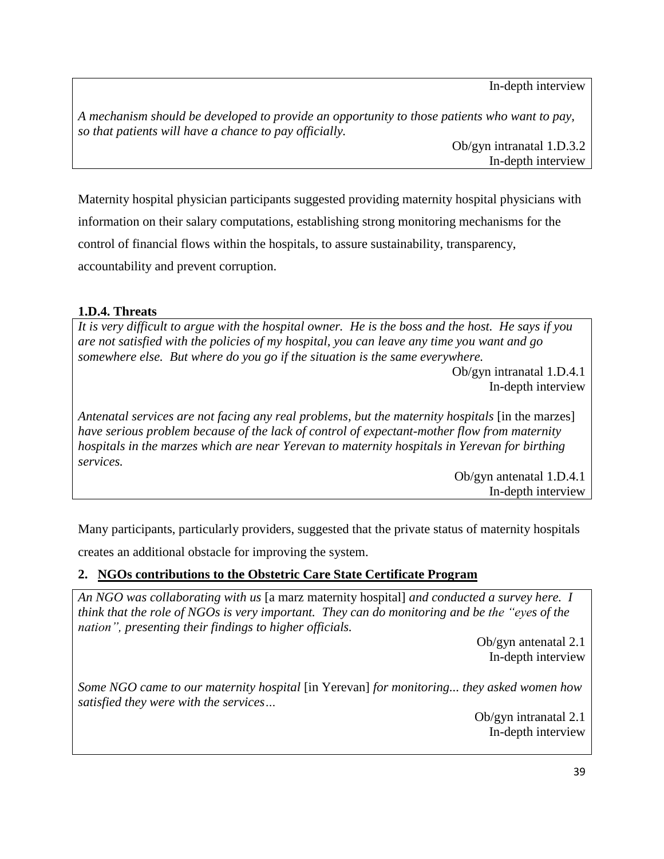In-depth interview

*A mechanism should be developed to provide an opportunity to those patients who want to pay, so that patients will have a chance to pay officially.*

Ob/gyn intranatal 1.D.3.2 In-depth interview

Maternity hospital physician participants suggested providing maternity hospital physicians with information on their salary computations, establishing strong monitoring mechanisms for the control of financial flows within the hospitals, to assure sustainability, transparency, accountability and prevent corruption.

# **1.D.4. Threats**

*It is very difficult to argue with the hospital owner. He is the boss and the host. He says if you are not satisfied with the policies of my hospital, you can leave any time you want and go somewhere else. But where do you go if the situation is the same everywhere.*

> Ob/gyn intranatal 1.D.4.1 In-depth interview

*Antenatal services are not facing any real problems, but the maternity hospitals* [in the marzes] *have serious problem because of the lack of control of expectant-mother flow from maternity hospitals in the marzes which are near Yerevan to maternity hospitals in Yerevan for birthing services.*

> Ob/gyn antenatal 1.D.4.1 In-depth interview

Many participants, particularly providers, suggested that the private status of maternity hospitals

creates an additional obstacle for improving the system.

# <span id="page-43-0"></span>**2. NGOs contributions to the Obstetric Care State Certificate Program**

*An NGO was collaborating with us* [a marz maternity hospital] *and conducted a survey here. I think that the role of NGOs is very important. They can do monitoring and be the "eyes of the nation", presenting their findings to higher officials.*

> Ob/gyn antenatal 2.1 In-depth interview

*Some NGO came to our maternity hospital* [in Yerevan] *for monitoring... they asked women how satisfied they were with the services…*

> Ob/gyn intranatal 2.1 In-depth interview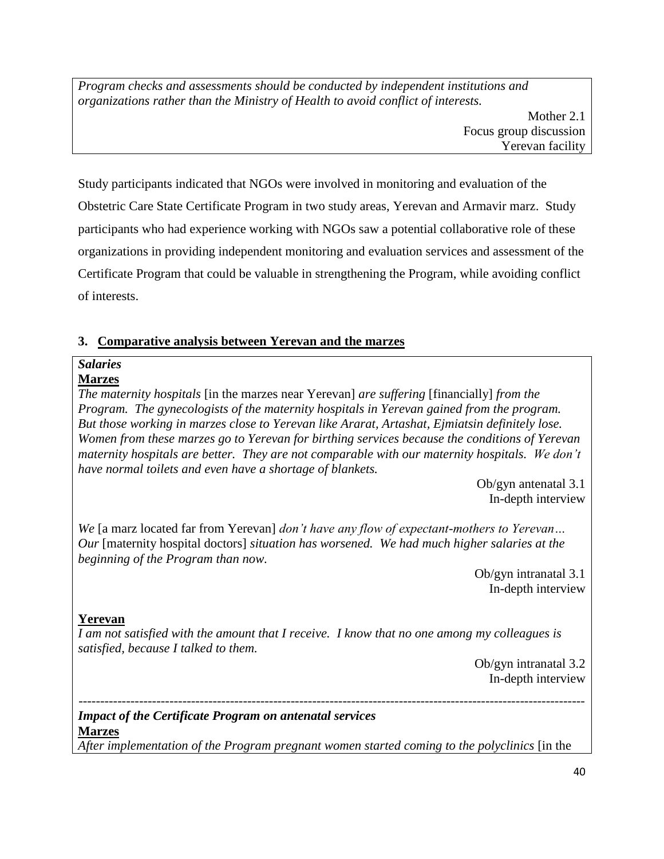*Program checks and assessments should be conducted by independent institutions and organizations rather than the Ministry of Health to avoid conflict of interests.*

Study participants indicated that NGOs were involved in monitoring and evaluation of the Obstetric Care State Certificate Program in two study areas, Yerevan and Armavir marz. Study participants who had experience working with NGOs saw a potential collaborative role of these organizations in providing independent monitoring and evaluation services and assessment of the Certificate Program that could be valuable in strengthening the Program, while avoiding conflict of interests.

# <span id="page-44-0"></span>**3. Comparative analysis between Yerevan and the marzes**

# *Salaries*

# **Marzes**

*The maternity hospitals* [in the marzes near Yerevan] *are suffering* [financially] *from the Program. The gynecologists of the maternity hospitals in Yerevan gained from the program. But those working in marzes close to Yerevan like Ararat, Artashat, Ejmiatsin definitely lose. Women from these marzes go to Yerevan for birthing services because the conditions of Yerevan maternity hospitals are better. They are not comparable with our maternity hospitals. We don't have normal toilets and even have a shortage of blankets.*

> Ob/gyn antenatal 3.1 In-depth interview

*We* [a marz located far from Yerevan] *don't have any flow of expectant-mothers to Yerevan… Our* [maternity hospital doctors] *situation has worsened. We had much higher salaries at the beginning of the Program than now.* 

Ob/gyn intranatal 3.1 In-depth interview

# **Yerevan**

*I am not satisfied with the amount that I receive. I know that no one among my colleagues is satisfied, because I talked to them.*

Ob/gyn intranatal 3.2 In-depth interview

---------------------------------------------------------------------------------------------------------------------

*Impact of the Certificate Program on antenatal services*  **Marzes**

*After implementation of the Program pregnant women started coming to the polyclinics* [in the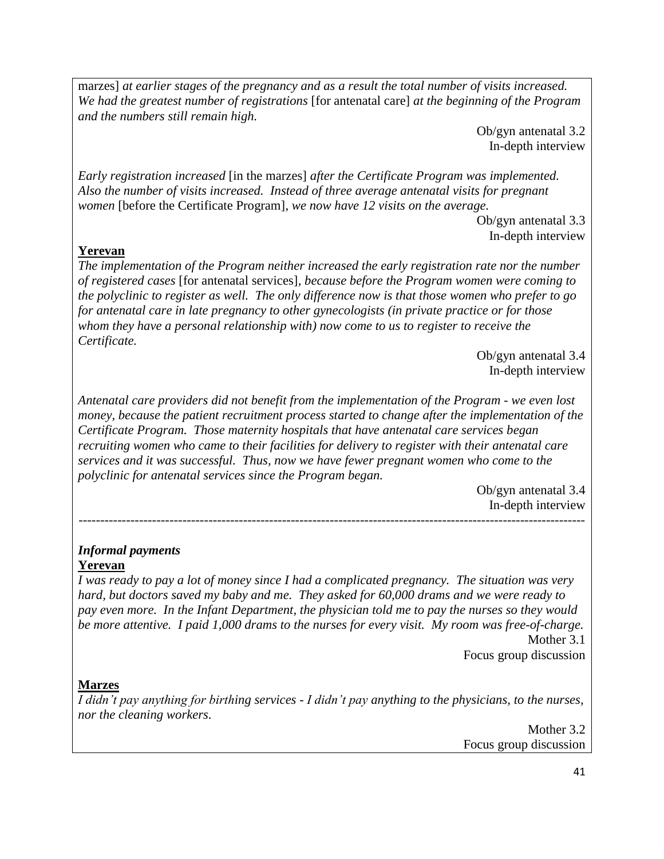marzes] *at earlier stages of the pregnancy and as a result the total number of visits increased. We had the greatest number of registrations* [for antenatal care] *at the beginning of the Program and the numbers still remain high.*

> Ob/gyn antenatal 3.2 In-depth interview

*Early registration increased* [in the marzes] *after the Certificate Program was implemented. Also the number of visits increased. Instead of three average antenatal visits for pregnant women* [before the Certificate Program]*, we now have 12 visits on the average.*

> Ob/gyn antenatal 3.3 In-depth interview

## **Yerevan**

*The implementation of the Program neither increased the early registration rate nor the number of registered cases* [for antenatal services]*, because before the Program women were coming to the polyclinic to register as well. The only difference now is that those women who prefer to go for antenatal care in late pregnancy to other gynecologists (in private practice or for those whom they have a personal relationship with) now come to us to register to receive the Certificate.* 

> Ob/gyn antenatal 3.4 In-depth interview

*Antenatal care providers did not benefit from the implementation of the Program - we even lost money, because the patient recruitment process started to change after the implementation of the Certificate Program. Those maternity hospitals that have antenatal care services began recruiting women who came to their facilities for delivery to register with their antenatal care services and it was successful. Thus, now we have fewer pregnant women who come to the polyclinic for antenatal services since the Program began.* 

---------------------------------------------------------------------------------------------------------------------

Ob/gyn antenatal 3.4 In-depth interview

### *Informal payments* **Yerevan**

*I was ready to pay a lot of money since I had a complicated pregnancy. The situation was very hard, but doctors saved my baby and me. They asked for 60,000 drams and we were ready to pay even more. In the Infant Department, the physician told me to pay the nurses so they would be more attentive. I paid 1,000 drams to the nurses for every visit. My room was free-of-charge.* Mother 3.1

Focus group discussion

### **Marzes**

*I didn't pay anything for birthing services - I didn't pay anything to the physicians, to the nurses, nor the cleaning workers.* 

> Mother 3.2 Focus group discussion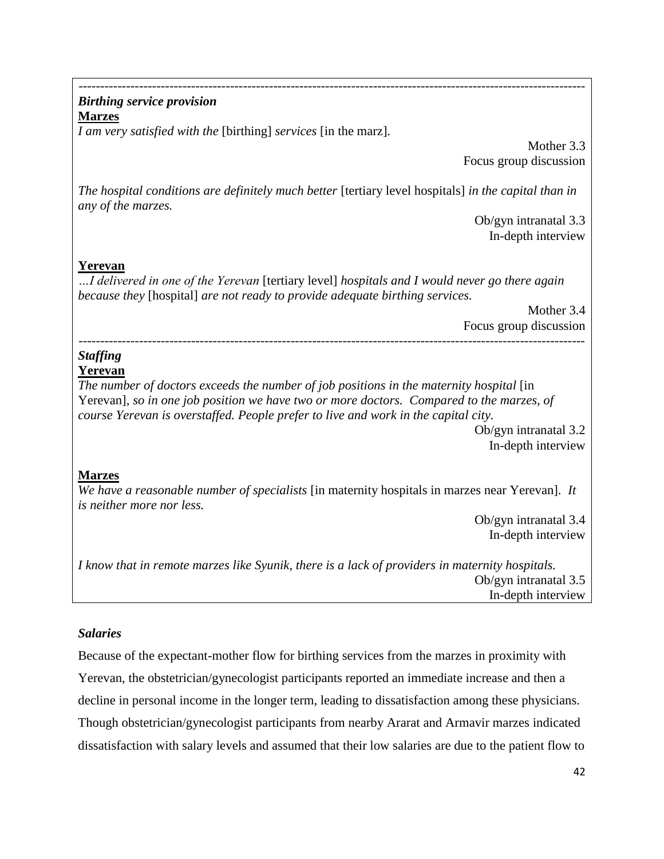## --------------------------------------------------------------------------------------------------------------------- *Birthing service provision*

**Marzes**

*I am very satisfied with the* [birthing] *services* [in the marz]*.*

Mother 3.3 Focus group discussion

*The hospital conditions are definitely much better* [tertiary level hospitals] *in the capital than in any of the marzes.*

> Ob/gyn intranatal 3.3 In-depth interview

# **Yerevan**

*…I delivered in one of the Yerevan* [tertiary level] *hospitals and I would never go there again because they* [hospital] *are not ready to provide adequate birthing services.*

Mother 3.4 Focus group discussion ---------------------------------------------------------------------------------------------------------------------

# *Staffing*

# **Yerevan**

*The number of doctors exceeds the number of job positions in the maternity hospital* [in Yerevan]*, so in one job position we have two or more doctors. Compared to the marzes, of course Yerevan is overstaffed. People prefer to live and work in the capital city.*

Ob/gyn intranatal 3.2 In-depth interview

# **Marzes**

*We have a reasonable number of specialists* [in maternity hospitals in marzes near Yerevan]*. It is neither more nor less.*

Ob/gyn intranatal 3.4 In-depth interview

*I know that in remote marzes like Syunik, there is a lack of providers in maternity hospitals.* Ob/gyn intranatal 3.5 In-depth interview

# *Salaries*

Because of the expectant-mother flow for birthing services from the marzes in proximity with Yerevan, the obstetrician/gynecologist participants reported an immediate increase and then a decline in personal income in the longer term, leading to dissatisfaction among these physicians. Though obstetrician/gynecologist participants from nearby Ararat and Armavir marzes indicated dissatisfaction with salary levels and assumed that their low salaries are due to the patient flow to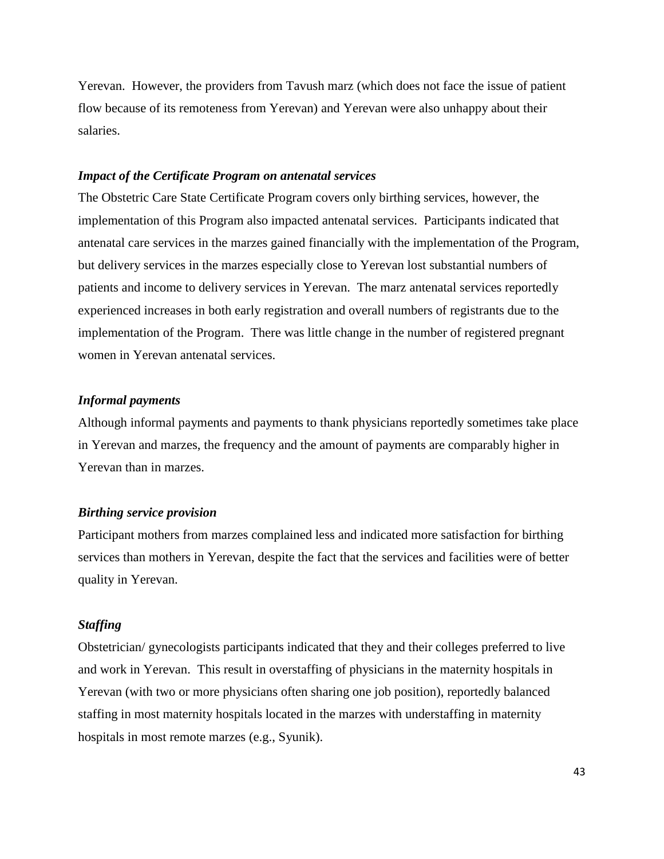Yerevan. However, the providers from Tavush marz (which does not face the issue of patient flow because of its remoteness from Yerevan) and Yerevan were also unhappy about their salaries.

#### *Impact of the Certificate Program on antenatal services*

The Obstetric Care State Certificate Program covers only birthing services, however, the implementation of this Program also impacted antenatal services. Participants indicated that antenatal care services in the marzes gained financially with the implementation of the Program, but delivery services in the marzes especially close to Yerevan lost substantial numbers of patients and income to delivery services in Yerevan. The marz antenatal services reportedly experienced increases in both early registration and overall numbers of registrants due to the implementation of the Program. There was little change in the number of registered pregnant women in Yerevan antenatal services.

#### *Informal payments*

Although informal payments and payments to thank physicians reportedly sometimes take place in Yerevan and marzes, the frequency and the amount of payments are comparably higher in Yerevan than in marzes.

#### *Birthing service provision*

Participant mothers from marzes complained less and indicated more satisfaction for birthing services than mothers in Yerevan, despite the fact that the services and facilities were of better quality in Yerevan.

#### *Staffing*

Obstetrician/ gynecologists participants indicated that they and their colleges preferred to live and work in Yerevan. This result in overstaffing of physicians in the maternity hospitals in Yerevan (with two or more physicians often sharing one job position), reportedly balanced staffing in most maternity hospitals located in the marzes with understaffing in maternity hospitals in most remote marzes (e.g., Syunik).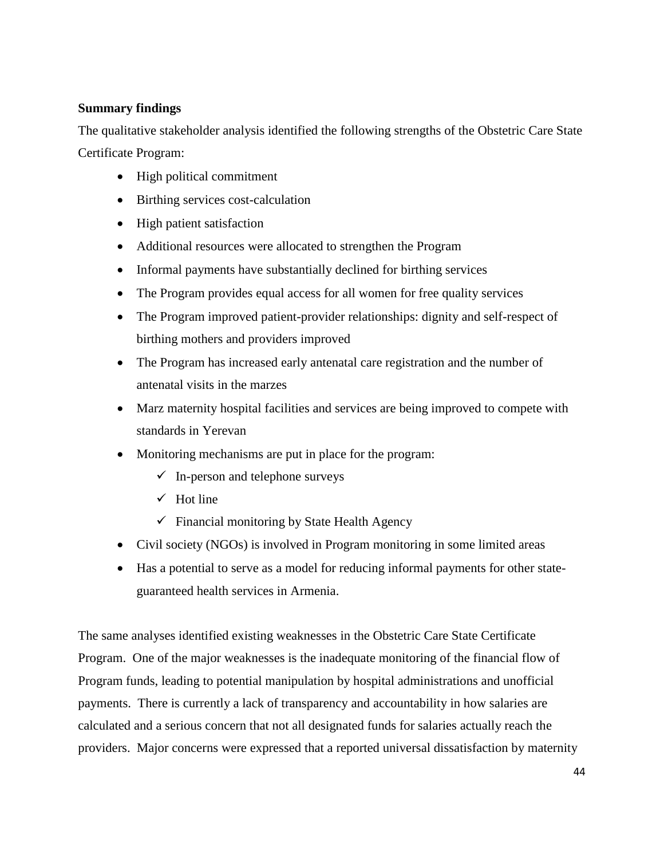# <span id="page-48-0"></span>**Summary findings**

The qualitative stakeholder analysis identified the following strengths of the Obstetric Care State Certificate Program:

- High political commitment
- Birthing services cost-calculation
- High patient satisfaction
- Additional resources were allocated to strengthen the Program
- Informal payments have substantially declined for birthing services
- The Program provides equal access for all women for free quality services
- The Program improved patient-provider relationships: dignity and self-respect of birthing mothers and providers improved
- The Program has increased early antenatal care registration and the number of antenatal visits in the marzes
- Marz maternity hospital facilities and services are being improved to compete with standards in Yerevan
- Monitoring mechanisms are put in place for the program:
	- $\checkmark$  In-person and telephone surveys
	- $\checkmark$  Hot line
	- $\checkmark$  Financial monitoring by State Health Agency
- Civil society (NGOs) is involved in Program monitoring in some limited areas
- Has a potential to serve as a model for reducing informal payments for other stateguaranteed health services in Armenia.

The same analyses identified existing weaknesses in the Obstetric Care State Certificate Program. One of the major weaknesses is the inadequate monitoring of the financial flow of Program funds, leading to potential manipulation by hospital administrations and unofficial payments. There is currently a lack of transparency and accountability in how salaries are calculated and a serious concern that not all designated funds for salaries actually reach the providers. Major concerns were expressed that a reported universal dissatisfaction by maternity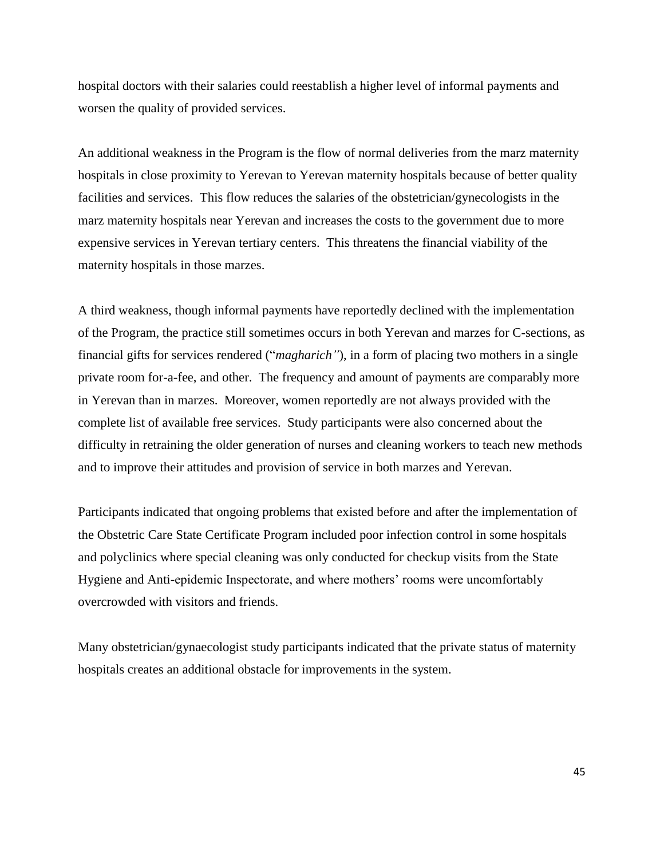hospital doctors with their salaries could reestablish a higher level of informal payments and worsen the quality of provided services.

An additional weakness in the Program is the flow of normal deliveries from the marz maternity hospitals in close proximity to Yerevan to Yerevan maternity hospitals because of better quality facilities and services. This flow reduces the salaries of the obstetrician/gynecologists in the marz maternity hospitals near Yerevan and increases the costs to the government due to more expensive services in Yerevan tertiary centers. This threatens the financial viability of the maternity hospitals in those marzes.

A third weakness, though informal payments have reportedly declined with the implementation of the Program, the practice still sometimes occurs in both Yerevan and marzes for C-sections, as financial gifts for services rendered ("*magharich"*), in a form of placing two mothers in a single private room for-a-fee, and other. The frequency and amount of payments are comparably more in Yerevan than in marzes. Moreover, women reportedly are not always provided with the complete list of available free services. Study participants were also concerned about the difficulty in retraining the older generation of nurses and cleaning workers to teach new methods and to improve their attitudes and provision of service in both marzes and Yerevan.

Participants indicated that ongoing problems that existed before and after the implementation of the Obstetric Care State Certificate Program included poor infection control in some hospitals and polyclinics where special cleaning was only conducted for checkup visits from the State Hygiene and Anti-epidemic Inspectorate, and where mothers' rooms were uncomfortably overcrowded with visitors and friends.

Many obstetrician/gynaecologist study participants indicated that the private status of maternity hospitals creates an additional obstacle for improvements in the system.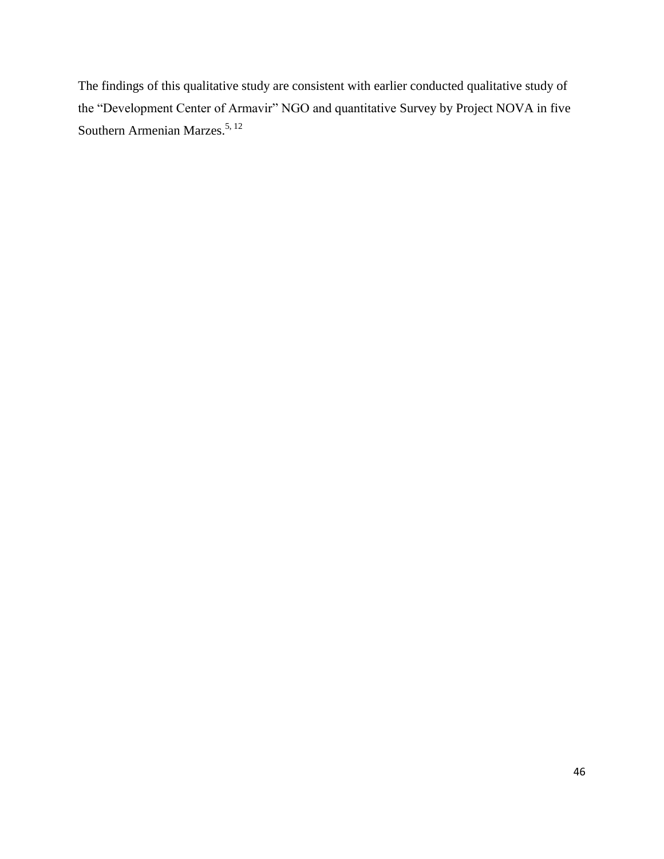The findings of this qualitative study are consistent with earlier conducted qualitative study of the "Development Center of Armavir" NGO and quantitative Survey by Project NOVA in five Southern Armenian Marzes.<sup>5, 12</sup>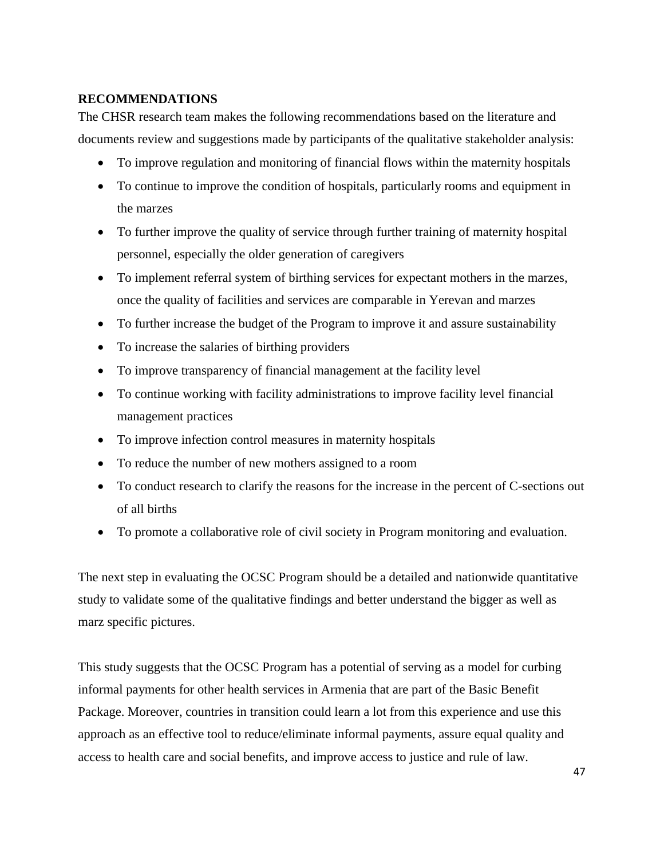## <span id="page-51-0"></span>**RECOMMENDATIONS**

The CHSR research team makes the following recommendations based on the literature and documents review and suggestions made by participants of the qualitative stakeholder analysis:

- To improve regulation and monitoring of financial flows within the maternity hospitals
- To continue to improve the condition of hospitals, particularly rooms and equipment in the marzes
- To further improve the quality of service through further training of maternity hospital personnel, especially the older generation of caregivers
- To implement referral system of birthing services for expectant mothers in the marzes, once the quality of facilities and services are comparable in Yerevan and marzes
- To further increase the budget of the Program to improve it and assure sustainability
- To increase the salaries of birthing providers
- To improve transparency of financial management at the facility level
- To continue working with facility administrations to improve facility level financial management practices
- To improve infection control measures in maternity hospitals
- To reduce the number of new mothers assigned to a room
- To conduct research to clarify the reasons for the increase in the percent of C-sections out of all births
- To promote a collaborative role of civil society in Program monitoring and evaluation.

The next step in evaluating the OCSC Program should be a detailed and nationwide quantitative study to validate some of the qualitative findings and better understand the bigger as well as marz specific pictures.

This study suggests that the OCSC Program has a potential of serving as a model for curbing informal payments for other health services in Armenia that are part of the Basic Benefit Package. Moreover, countries in transition could learn a lot from this experience and use this approach as an effective tool to reduce/eliminate informal payments, assure equal quality and access to health care and social benefits, and improve access to justice and rule of law.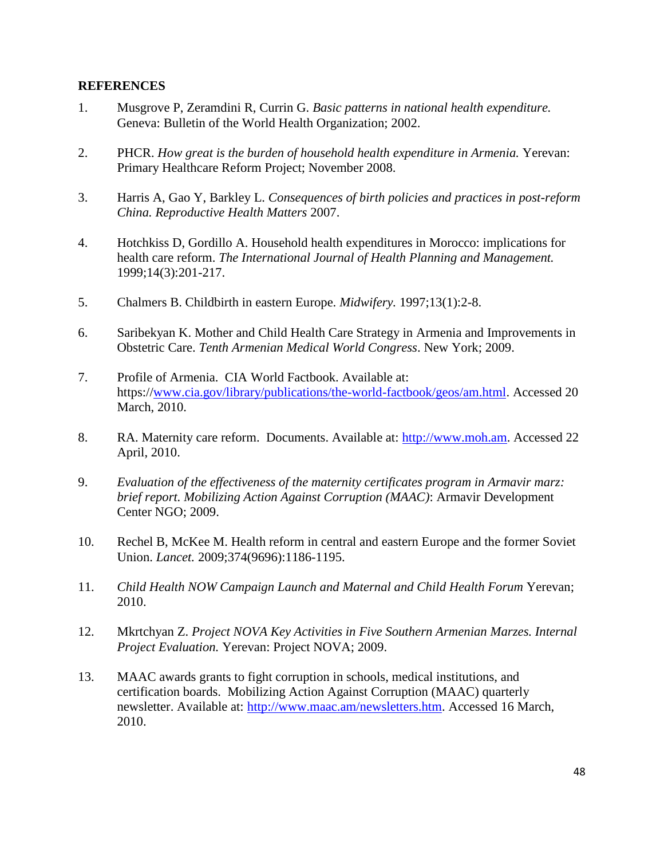#### <span id="page-52-0"></span>**REFERENCES**

- 1. Musgrove P, Zeramdini R, Currin G. *Basic patterns in national health expenditure.* Geneva: Bulletin of the World Health Organization; 2002.
- 2. PHCR. *How great is the burden of household health expenditure in Armenia.* Yerevan: Primary Healthcare Reform Project; November 2008.
- 3. Harris A, Gao Y, Barkley L. *Consequences of birth policies and practices in post-reform China. Reproductive Health Matters* 2007.
- 4. Hotchkiss D, Gordillo A. Household health expenditures in Morocco: implications for health care reform. *The International Journal of Health Planning and Management.*  1999;14(3):201-217.
- 5. Chalmers B. Childbirth in eastern Europe. *Midwifery.* 1997;13(1):2-8.
- 6. Saribekyan K. Mother and Child Health Care Strategy in Armenia and Improvements in Obstetric Care. *Tenth Armenian Medical World Congress*. New York; 2009.
- 7. Profile of Armenia. CIA World Factbook. Available at: https:/[/www.cia.gov/library/publications/the-world-factbook/geos/am.html.](http://www.cia.gov/library/publications/the-world-factbook/geos/am.html) Accessed 20 March, 2010.
- 8. RA. Maternity care reform. Documents. Available at: [http://www.moh.am.](http://www.moh.am/) Accessed 22 April, 2010.
- 9. *Evaluation of the effectiveness of the maternity certificates program in Armavir marz: brief report. Mobilizing Action Against Corruption (MAAC)*: Armavir Development Center NGO; 2009.
- 10. Rechel B, McKee M. Health reform in central and eastern Europe and the former Soviet Union. *Lancet.* 2009;374(9696):1186-1195.
- 11. *Child Health NOW Campaign Launch and Maternal and Child Health Forum* Yerevan; 2010.
- 12. Mkrtchyan Z. *Project NOVA Key Activities in Five Southern Armenian Marzes. Internal Project Evaluation.* Yerevan: Project NOVA; 2009.
- 13. MAAC awards grants to fight corruption in schools, medical institutions, and certification boards. Mobilizing Action Against Corruption (MAAC) quarterly newsletter. Available at: [http://www.maac.am/newsletters.htm.](http://www.maac.am/newsletters.htm) Accessed 16 March, 2010.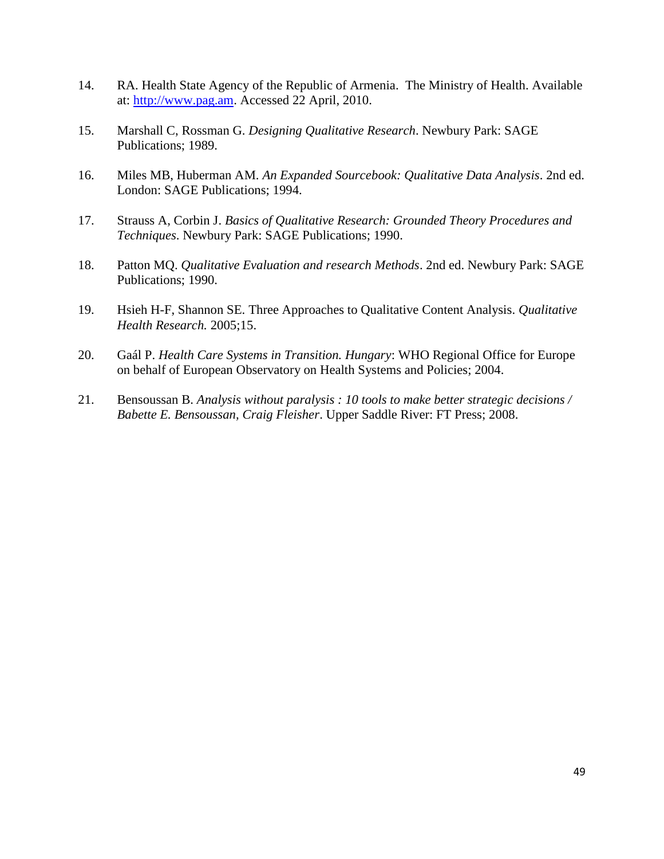- 14. RA. Health State Agency of the Republic of Armenia. The Ministry of Health. Available at: [http://www.pag.am.](http://www.pag.am/) Accessed 22 April, 2010.
- 15. Marshall C, Rossman G. *Designing Qualitative Research*. Newbury Park: SAGE Publications; 1989.
- 16. Miles MB, Huberman AM. *An Expanded Sourcebook: Qualitative Data Analysis*. 2nd ed. London: SAGE Publications; 1994.
- 17. Strauss A, Corbin J. *Basics of Qualitative Research: Grounded Theory Procedures and Techniques*. Newbury Park: SAGE Publications; 1990.
- 18. Patton MQ. *Qualitative Evaluation and research Methods*. 2nd ed. Newbury Park: SAGE Publications; 1990.
- 19. Hsieh H-F, Shannon SE. Three Approaches to Qualitative Content Analysis. *Qualitative Health Research.* 2005;15.
- 20. Gaál P. *Health Care Systems in Transition. Hungary*: WHO Regional Office for Europe on behalf of European Observatory on Health Systems and Policies; 2004.
- 21. Bensoussan B. *Analysis without paralysis : 10 tools to make better strategic decisions / Babette E. Bensoussan, Craig Fleisher*. Upper Saddle River: FT Press; 2008.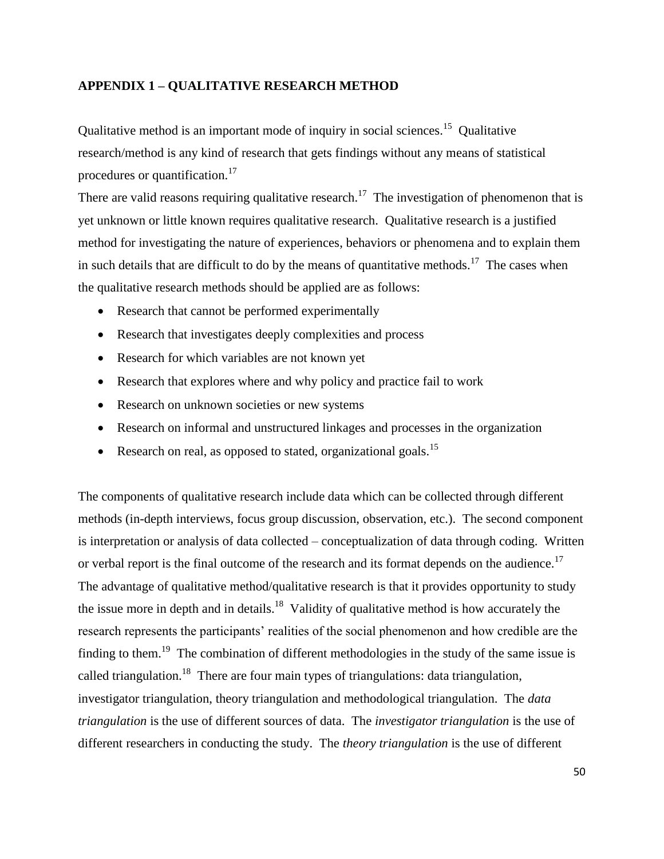### <span id="page-54-0"></span>**APPENDIX 1 – QUALITATIVE RESEARCH METHOD**

Qualitative method is an important mode of inquiry in social sciences.<sup>15</sup> Qualitative research/method is any kind of research that gets findings without any means of statistical procedures or quantification.<sup>17</sup>

There are valid reasons requiring qualitative research.<sup>17</sup> The investigation of phenomenon that is yet unknown or little known requires qualitative research. Qualitative research is a justified method for investigating the nature of experiences, behaviors or phenomena and to explain them in such details that are difficult to do by the means of quantitative methods.<sup>17</sup> The cases when the qualitative research methods should be applied are as follows:

- Research that cannot be performed experimentally
- Research that investigates deeply complexities and process
- Research for which variables are not known yet
- Research that explores where and why policy and practice fail to work
- Research on unknown societies or new systems
- Research on informal and unstructured linkages and processes in the organization
- Research on real, as opposed to stated, organizational goals.<sup>15</sup>

The components of qualitative research include data which can be collected through different methods (in-depth interviews, focus group discussion, observation, etc.). The second component is interpretation or analysis of data collected – conceptualization of data through coding. Written or verbal report is the final outcome of the research and its format depends on the audience.<sup>17</sup> The advantage of qualitative method/qualitative research is that it provides opportunity to study the issue more in depth and in details.<sup>18</sup> Validity of qualitative method is how accurately the research represents the participants' realities of the social phenomenon and how credible are the finding to them.<sup>19</sup> The combination of different methodologies in the study of the same issue is called triangulation.<sup>18</sup> There are four main types of triangulations: data triangulation, investigator triangulation, theory triangulation and methodological triangulation. The *data triangulation* is the use of different sources of data. The *investigator triangulation* is the use of different researchers in conducting the study. The *theory triangulation* is the use of different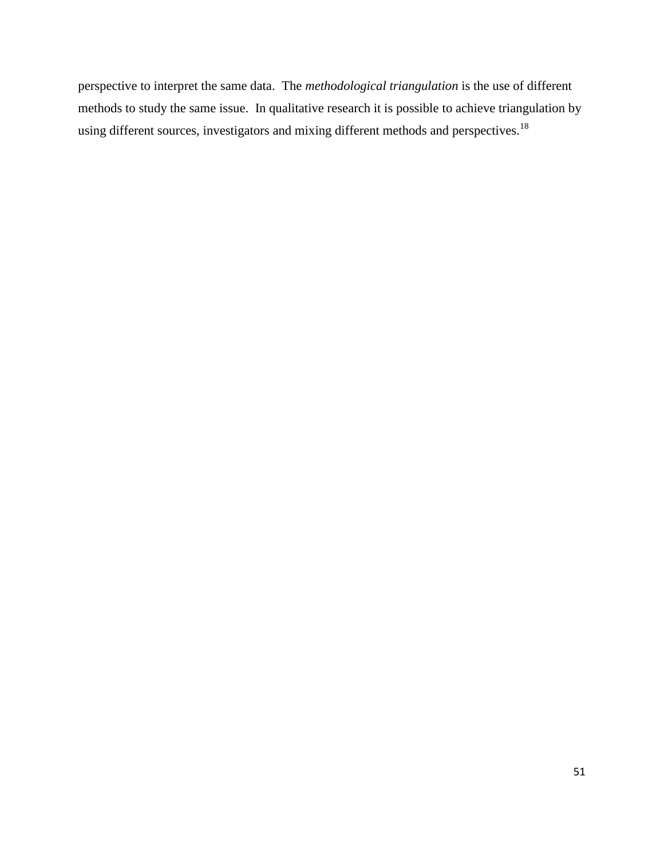perspective to interpret the same data. The *methodological triangulation* is the use of different methods to study the same issue. In qualitative research it is possible to achieve triangulation by using different sources, investigators and mixing different methods and perspectives.<sup>18</sup>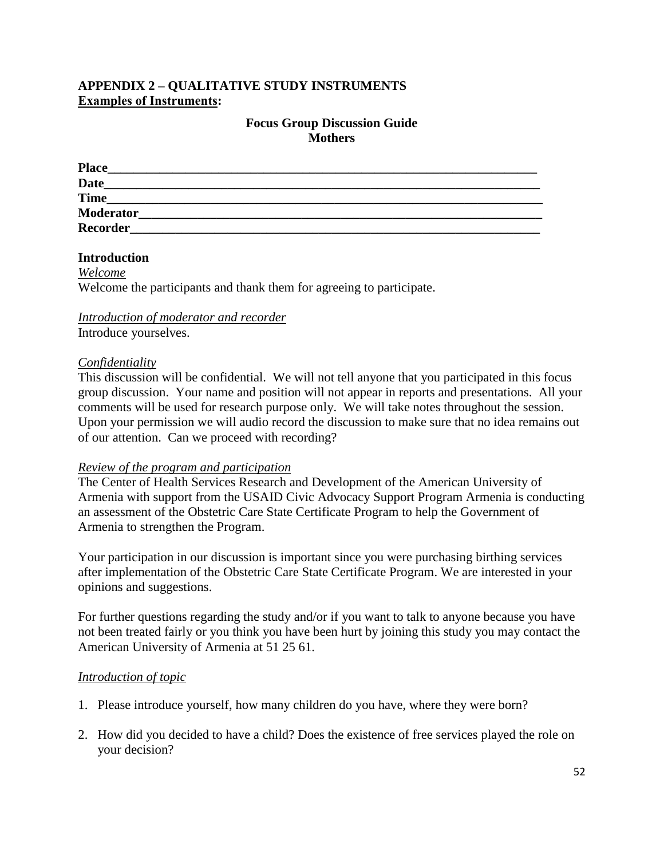# <span id="page-56-0"></span>**APPENDIX 2 – QUALITATIVE STUDY INSTRUMENTS Examples of Instruments:**

## **Focus Group Discussion Guide Mothers**

| <b>Place</b>     |  |  |
|------------------|--|--|
| <b>Date</b>      |  |  |
| <b>Time</b>      |  |  |
| <b>Moderator</b> |  |  |
| <b>Recorder</b>  |  |  |

### **Introduction**

*Welcome* Welcome the participants and thank them for agreeing to participate.

# *Introduction of moderator and recorder*

Introduce yourselves.

### *Confidentiality*

This discussion will be confidential. We will not tell anyone that you participated in this focus group discussion. Your name and position will not appear in reports and presentations. All your comments will be used for research purpose only. We will take notes throughout the session. Upon your permission we will audio record the discussion to make sure that no idea remains out of our attention. Can we proceed with recording?

### *Review of the program and participation*

The Center of Health Services Research and Development of the American University of Armenia with support from the USAID Civic Advocacy Support Program Armenia is conducting an assessment of the Obstetric Care State Certificate Program to help the Government of Armenia to strengthen the Program.

Your participation in our discussion is important since you were purchasing birthing services after implementation of the Obstetric Care State Certificate Program. We are interested in your opinions and suggestions.

For further questions regarding the study and/or if you want to talk to anyone because you have not been treated fairly or you think you have been hurt by joining this study you may contact the American University of Armenia at 51 25 61.

### *Introduction of topic*

- 1. Please introduce yourself, how many children do you have, where they were born?
- 2. How did you decided to have a child? Does the existence of free services played the role on your decision?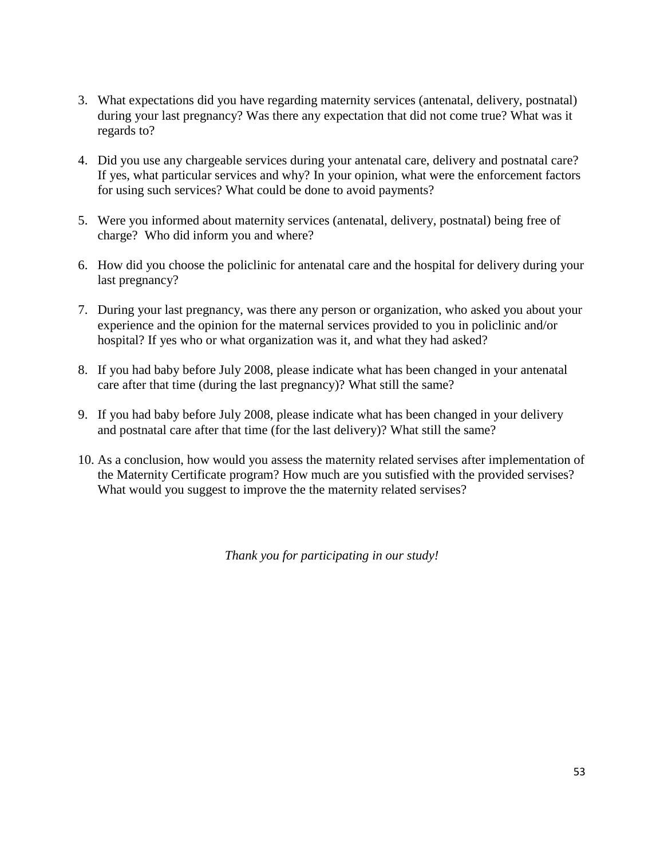- 3. What expectations did you have regarding maternity services (antenatal, delivery, postnatal) during your last pregnancy? Was there any expectation that did not come true? What was it regards to?
- 4. Did you use any chargeable services during your antenatal care, delivery and postnatal care? If yes, what particular services and why? In your opinion, what were the enforcement factors for using such services? What could be done to avoid payments?
- 5. Were you informed about maternity services (antenatal, delivery, postnatal) being free of charge? Who did inform you and where?
- 6. How did you choose the policlinic for antenatal care and the hospital for delivery during your last pregnancy?
- 7. During your last pregnancy, was there any person or organization, who asked you about your experience and the opinion for the maternal services provided to you in policlinic and/or hospital? If yes who or what organization was it, and what they had asked?
- 8. If you had baby before July 2008, please indicate what has been changed in your antenatal care after that time (during the last pregnancy)? What still the same?
- 9. If you had baby before July 2008, please indicate what has been changed in your delivery and postnatal care after that time (for the last delivery)? What still the same?
- 10. As a conclusion, how would you assess the maternity related servises after implementation of the Maternity Certificate program? How much are you sutisfied with the provided servises? What would you suggest to improve the the maternity related servises?

*Thank you for participating in our study!*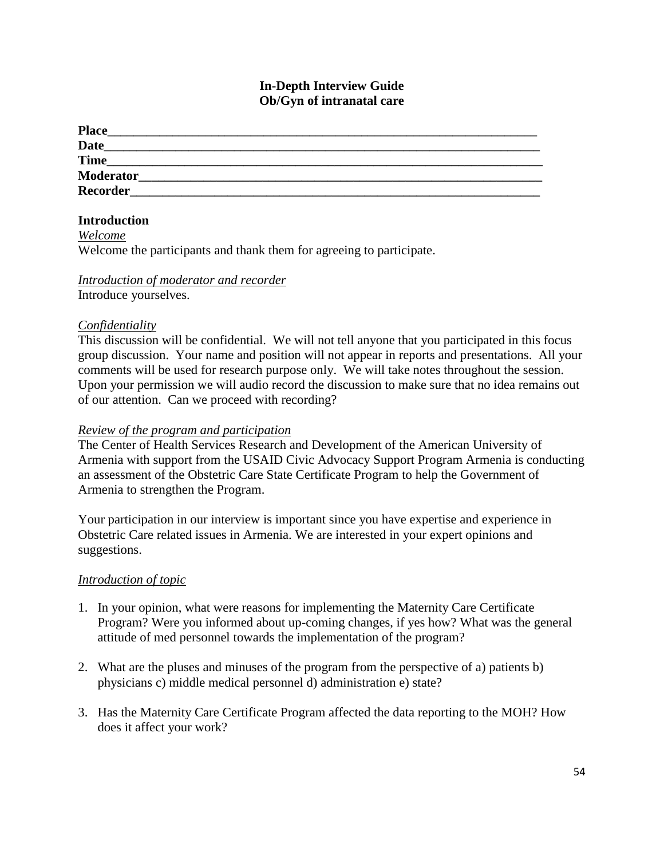## **In-Depth Interview Guide Ob/Gyn of intranatal care**

| <b>Place</b>     |  |  |
|------------------|--|--|
| <b>Date</b>      |  |  |
| <b>Time</b>      |  |  |
| <b>Moderator</b> |  |  |
| <b>Recorder</b>  |  |  |

## **Introduction**

*Welcome*

Welcome the participants and thank them for agreeing to participate.

### *Introduction of moderator and recorder*

Introduce yourselves.

## *Confidentiality*

This discussion will be confidential. We will not tell anyone that you participated in this focus group discussion. Your name and position will not appear in reports and presentations. All your comments will be used for research purpose only. We will take notes throughout the session. Upon your permission we will audio record the discussion to make sure that no idea remains out of our attention. Can we proceed with recording?

### *Review of the program and participation*

The Center of Health Services Research and Development of the American University of Armenia with support from the USAID Civic Advocacy Support Program Armenia is conducting an assessment of the Obstetric Care State Certificate Program to help the Government of Armenia to strengthen the Program.

Your participation in our interview is important since you have expertise and experience in Obstetric Care related issues in Armenia. We are interested in your expert opinions and suggestions.

### *Introduction of topic*

- 1. In your opinion, what were reasons for implementing the Maternity Care Certificate Program? Were you informed about up-coming changes, if yes how? What was the general attitude of med personnel towards the implementation of the program?
- 2. What are the pluses and minuses of the program from the perspective of a) patients b) physicians c) middle medical personnel d) administration e) state?
- 3. Has the Maternity Care Certificate Program affected the data reporting to the MOH? How does it affect your work?